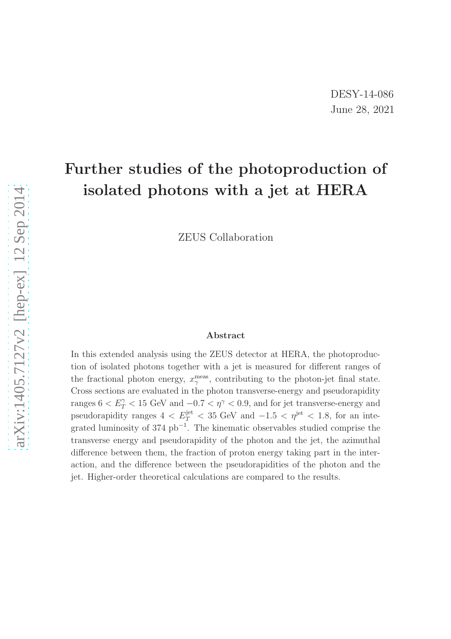# Further studies of the photoproduction of isolated photons with a jet at HERA

ZEUS Collaboration

#### Abstract

In this extended analysis using the ZEUS detector at HERA, the photoproduction of isolated photons together with a jet is measured for different ranges of the fractional photon energy,  $x_{\gamma}^{\text{meas}}$ , contributing to the photon-jet final state. Cross sections are evaluated in the photon transverse-energy and pseudorapidity ranges  $6 < E_T^{\gamma} < 15$  GeV and  $-0.7 < \eta^{\gamma} < 0.9$ , and for jet transverse-energy and pseudorapidity ranges  $4 \langle E_T^{\text{jet}} \rangle \langle 35 \text{ GeV} \rangle$  and  $-1.5 \langle \eta^{\text{jet}} \rangle \langle 1.8 \rangle$  for an integrated luminosity of 374  $pb^{-1}$ . The kinematic observables studied comprise the transverse energy and pseudorapidity of the photon and the jet, the azimuthal difference between them, the fraction of proton energy taking part in the interaction, and the difference between the pseudorapidities of the photon and the jet. Higher-order theoretical calculations are compared to the results.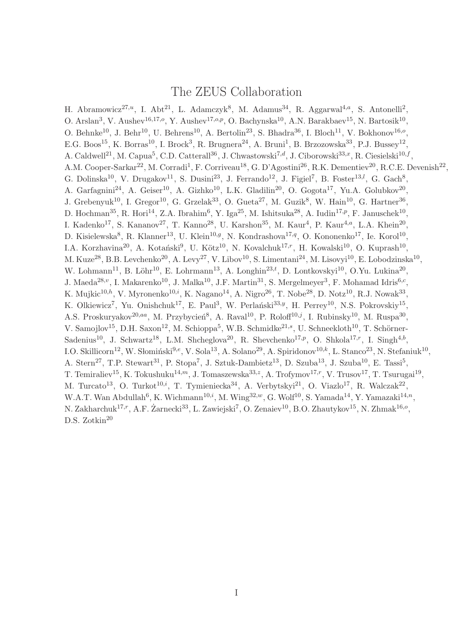#### The ZEUS Collaboration

H. Abramowicz<sup>27,*u*</sup>, I. Abt<sup>21</sup>, L. Adamczyk<sup>8</sup>, M. Adamus<sup>34</sup>, R. Aggarwal<sup>4,*a*</sup>, S. Antonelli<sup>2</sup>, O. Arslan<sup>3</sup>, V. Aushev<sup>16,17,o</sup>, Y. Aushev<sup>17,o,p</sup>, O. Bachynska<sup>10</sup>, A.N. Barakbaev<sup>15</sup>, N. Bartosik<sup>10</sup>, O. Behnke<sup>10</sup>, J. Behr<sup>10</sup>, U. Behrens<sup>10</sup>, A. Bertolin<sup>23</sup>, S. Bhadra<sup>36</sup>, I. Bloch<sup>11</sup>, V. Bokhonov<sup>16,</sup><sup>o</sup>, E.G. Boos<sup>15</sup>, K. Borras<sup>10</sup>, I. Brock<sup>3</sup>, R. Brugnera<sup>24</sup>, A. Bruni<sup>1</sup>, B. Brzozowska<sup>33</sup>, P.J. Bussey<sup>12</sup>, A. Caldwell<sup>21</sup>, M. Capua<sup>5</sup>, C.D. Catterall<sup>36</sup>, J. Chwastowski<sup>7,d</sup>, J. Ciborowski<sup>33,x</sup>, R. Ciesielski<sup>10,f</sup>, A.M. Cooper-Sarkar<sup>22</sup>, M. Corradi<sup>1</sup>, F. Corriveau<sup>18</sup>, G. D'Agostini<sup>26</sup>, R.K. Dementiev<sup>20</sup>, R.C.E. Devenish<sup>22</sup>, G. Dolinska<sup>10</sup>, V. Drugakov<sup>11</sup>, S. Dusini<sup>23</sup>, J. Ferrando<sup>12</sup>, J. Figiel<sup>7</sup>, B. Foster<sup>13,*l*</sup>, G. Gach<sup>8</sup>, A. Garfagnini<sup>24</sup>, A. Geiser<sup>10</sup>, A. Gizhko<sup>10</sup>, L.K. Gladilin<sup>20</sup>, O. Gogota<sup>17</sup>, Yu.A. Golubkov<sup>20</sup>, J. Grebenyuk<sup>10</sup>, I. Gregor<sup>10</sup>, G. Grzelak<sup>33</sup>, O. Gueta<sup>27</sup>, M. Guzik<sup>8</sup>, W. Hain<sup>10</sup>, G. Hartner<sup>36</sup>, D. Hochman<sup>35</sup>, R. Hori<sup>14</sup>, Z.A. Ibrahim<sup>6</sup>, Y. Iga<sup>25</sup>, M. Ishitsuka<sup>28</sup>, A. Iudin<sup>17,p</sup>, F. Januschek<sup>10</sup>, I. Kadenko<sup>17</sup>, S. Kananov<sup>27</sup>, T. Kanno<sup>28</sup>, U. Karshon<sup>35</sup>, M. Kaur<sup>4</sup>, P. Kaur<sup>4,a</sup>, L.A. Khein<sup>20</sup>, D. Kisielewska<sup>8</sup>, R. Klanner<sup>13</sup>, U. Klein<sup>10,g</sup>, N. Kondrashova<sup>17,q</sup>, O. Kononenko<sup>17</sup>, Ie. Korol<sup>10</sup>, I.A. Korzhavina<sup>20</sup>, A. Kotański<sup>9</sup>, U. Kötz<sup>10</sup>, N. Kovalchuk<sup>17,r</sup>, H. Kowalski<sup>10</sup>, O. Kuprash<sup>10</sup>, M. Kuze<sup>28</sup>, B.B. Levchenko<sup>20</sup>, A. Levy<sup>27</sup>, V. Libov<sup>10</sup>, S. Limentani<sup>24</sup>, M. Lisovyi<sup>10</sup>, E. Lobodzinska<sup>10</sup>, W. Lohmann<sup>11</sup>, B. Löhr<sup>10</sup>, E. Lohrmann<sup>13</sup>, A. Longhin<sup>23,t</sup>, D. Lontkovskyi<sup>10</sup>, O.Yu. Lukina<sup>20</sup>, J. Maeda<sup>28,*v*</sup>, I. Makarenko<sup>10</sup>, J. Malka<sup>10</sup>, J.F. Martin<sup>31</sup>, S. Mergelmeyer<sup>3</sup>, F. Mohamad Idris<sup>6,*c*</sup>, K. Mujkic $^{10,h}$ , V. Myronenko $^{10,i}$ , K. Nagano $^{14}$ , A. Nigro $^{26}$ , T. Nobe $^{28}$ , D. Notz $^{10}$ , R.J. Nowak $^{33}$ , K. Olkiewicz<sup>7</sup>, Yu. Onishchuk<sup>17</sup>, E. Paul<sup>3</sup>, W. Perlański<sup>33,y</sup>, H. Perrey<sup>10</sup>, N.S. Pokrovskiy<sup>15</sup>, A.S. Proskuryakov<sup>20,aa</sup>, M. Przybycień<sup>8</sup>, A. Raval<sup>10</sup>, P. Roloff<sup>10,j</sup>, I. Rubinsky<sup>10</sup>, M. Ruspa<sup>30</sup>, V. Samojlov<sup>15</sup>, D.H. Saxon<sup>12</sup>, M. Schioppa<sup>5</sup>, W.B. Schmidke<sup>21,s</sup>, U. Schneekloth<sup>10</sup>, T. Schörner-Sadenius<sup>10</sup>, J. Schwartz<sup>18</sup>, L.M. Shcheglova<sup>20</sup>, R. Shevchenko<sup>17,p</sup>, O. Shkola<sup>17,r</sup>, I. Singh<sup>4,b</sup>, I.O. Skillicorn<sup>12</sup>, W. Słomiński<sup>9,e</sup>, V. Sola<sup>13</sup>, A. Solano<sup>29</sup>, A. Spiridonov<sup>10,k</sup>, L. Stanco<sup>23</sup>, N. Stefaniuk<sup>10</sup>, A. Stern<sup>27</sup>, T.P. Stewart<sup>31</sup>, P. Stopa<sup>7</sup>, J. Sztuk-Dambietz<sup>13</sup>, D. Szuba<sup>13</sup>, J. Szuba<sup>10</sup>, E. Tassi<sup>5</sup>, T. Temiraliev<sup>15</sup>, K. Tokushuku<sup>14,m</sup>, J. Tomaszewska<sup>33,z</sup>, A. Trofymov<sup>17,r</sup>, V. Trusov<sup>17</sup>, T. Tsurugai<sup>19</sup>, M. Turcato<sup>13</sup>, O. Turkot<sup>10,*i*</sup>, T. Tymieniecka<sup>34</sup>, A. Verbytskyi<sup>21</sup>, O. Viazlo<sup>17</sup>, R. Walczak<sup>22</sup>, W.A.T. Wan Abdullah<sup>6</sup>, K. Wichmann<sup>10,*i*</sup>, M. Wing<sup>32,*w*</sup>, G. Wolf<sup>10</sup>, S. Yamada<sup>14</sup>, Y. Yamazaki<sup>14,*n*</sup>, N. Zakharchuk<sup>17,r</sup>, A.F. Żarnecki<sup>33</sup>, L. Zawiejski<sup>7</sup>, O. Zenaiev<sup>10</sup>, B.O. Zhautykov<sup>15</sup>, N. Zhmak<sup>16,0</sup>, D.S. Zotkin<sup>20</sup>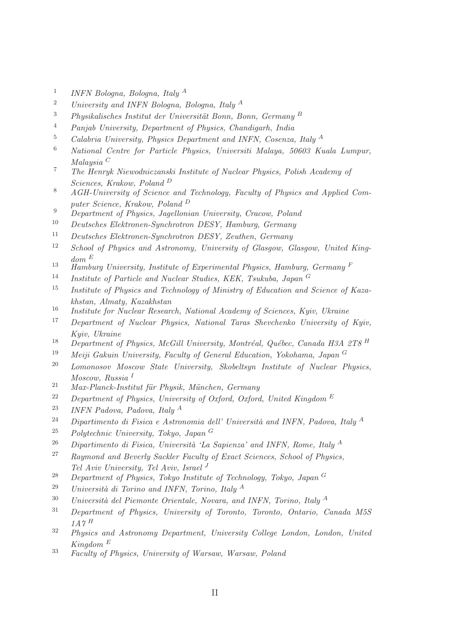- 1 INFN Bologna, Bologna, Italy <sup>A</sup>
- <sup>2</sup> University and INFN Bologna, Bologna, Italy <sup>A</sup>
- $3$  Physikalisches Institut der Universität Bonn, Bonn, Germany B
- <sup>4</sup> Panjab University, Department of Physics, Chandigarh, India
- <sup>5</sup> Calabria University, Physics Department and INFN, Cosenza, Italy  $^{A}$
- <sup>6</sup> National Centre for Particle Physics, Universiti Malaya, 50603 Kuala Lumpur, Malaysia <sup>C</sup>
- <sup>7</sup> The Henryk Niewodniczanski Institute of Nuclear Physics, Polish Academy of Sciences, Krakow, Poland <sup>D</sup>
- <sup>8</sup> AGH-University of Science and Technology, Faculty of Physics and Applied Computer Science, Krakow, Poland <sup>D</sup>
- 9 Department of Physics, Jagellonian University, Cracow, Poland
- <sup>10</sup> Deutsches Elektronen-Synchrotron DESY, Hamburg, Germany
- <sup>11</sup> Deutsches Elektronen-Synchrotron DESY, Zeuthen, Germany
- <sup>12</sup> School of Physics and Astronomy, University of Glasgow, Glasgow, United Kingdom <sup>E</sup>
- $\frac{13}{13}$  Hamburg University, Institute of Experimental Physics, Hamburg, Germany F
- <sup>14</sup> Institute of Particle and Nuclear Studies, KEK, Tsukuba, Japan<sup>G</sup>
- <sup>15</sup> Institute of Physics and Technology of Ministry of Education and Science of Kazakhstan, Almaty, Kazakhstan
- <sup>16</sup> Institute for Nuclear Research, National Academy of Sciences, Kyiv, Ukraine
- <sup>17</sup> Department of Nuclear Physics, National Taras Shevchenko University of Kyiv, Kyiv, Ukraine
- <sup>18</sup> Department of Physics, McGill University, Montréal, Québec, Canada H3A 2T8 <sup>H</sup>
- <sup>19</sup> Meiji Gakuin University, Faculty of General Education, Yokohama, Japan  $G$
- <sup>20</sup> Lomonosov Moscow State University, Skobeltsyn Institute of Nuclear Physics, Moscow, Russia<sup>1</sup>
- $21$  Max-Planck-Institut für Physik, München, Germany
- <sup>22</sup> Department of Physics, University of Oxford, Oxford, United Kingdom  $E$
- <sup>23</sup> INFN Padova, Padova, Italy <sup>A</sup>
- <sup>24</sup> Dipartimento di Fisica e Astronomia dell' Università and INFN, Padova, Italy <sup>A</sup>
- <sup>25</sup> Polytechnic University, Tokyo, Japan <sup>G</sup>
- <sup>26</sup> Dipartimento di Fisica, Università 'La Sapienza' and INFN, Rome, Italy <sup>A</sup>
- <sup>27</sup> Raymond and Beverly Sackler Faculty of Exact Sciences, School of Physics, Tel Aviv University, Tel Aviv, Israel <sup>J</sup>
- <sup>28</sup> Department of Physics, Tokyo Institute of Technology, Tokyo, Japan <sup>G</sup>
- <sup>29</sup> Università di Torino and INFN, Torino, Italy <sup>A</sup>
- $30$  Università del Piemonte Orientale, Novara, and INFN, Torino, Italy <sup>A</sup>
- <sup>31</sup> Department of Physics, University of Toronto, Toronto, Ontario, Canada M5S  $1A\gamma H$
- <sup>32</sup> Physics and Astronomy Department, University College London, London, United  $Kingdom E$
- <sup>33</sup> Faculty of Physics, University of Warsaw, Warsaw, Poland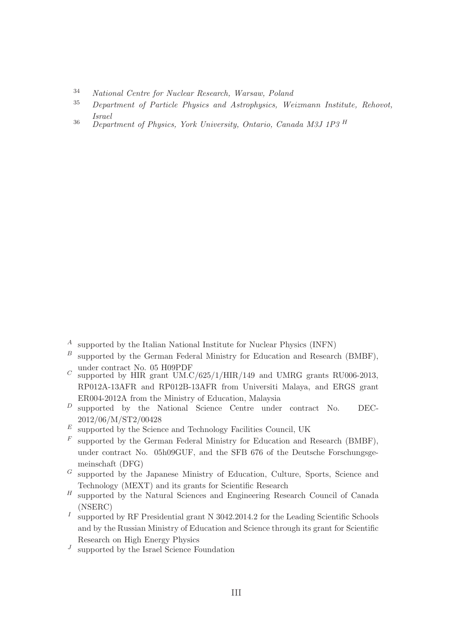- <sup>34</sup> National Centre for Nuclear Research, Warsaw, Poland
- <sup>35</sup> Department of Particle Physics and Astrophysics, Weizmann Institute, Rehovot, Israel
- $\frac{36}{36}$  Department of Physics, York University, Ontario, Canada M3J 1P3 <sup>H</sup>

- <sup>A</sup> supported by the Italian National Institute for Nuclear Physics (INFN)
- $B$  supported by the German Federal Ministry for Education and Research (BMBF). under contract No. 05 H09PDF
- $C$  supported by HIR grant UM.C/625/1/HIR/149 and UMRG grants RU006-2013, RP012A-13AFR and RP012B-13AFR from Universiti Malaya, and ERGS grant ER004-2012A from the Ministry of Education, Malaysia
- $D$  supported by the National Science Centre under contract No. DEC-2012/06/M/ST2/00428
- $\boldsymbol{^E}\;$  supported by the Science and Technology Facilities Council, UK
- $F$  supported by the German Federal Ministry for Education and Research (BMBF), under contract No. 05h09GUF, and the SFB 676 of the Deutsche Forschungsgemeinschaft (DFG)
- $G$  supported by the Japanese Ministry of Education, Culture, Sports, Science and Technology (MEXT) and its grants for Scientific Research
- $H$  supported by the Natural Sciences and Engineering Research Council of Canada (NSERC)
- I supported by RF Presidential grant N 3042.2014.2 for the Leading Scientific Schools and by the Russian Ministry of Education and Science through its grant for Scientific Research on High Energy Physics
- $J$  supported by the Israel Science Foundation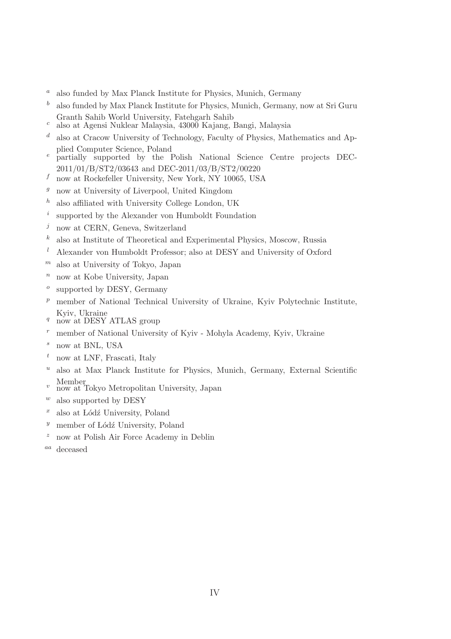- $a$  also funded by Max Planck Institute for Physics, Munich, Germany
- $b<sup>b</sup>$  also funded by Max Planck Institute for Physics, Munich, Germany, now at Sri Guru Granth Sahib World University, Fatehgarh Sahib
- <sup>c</sup> also at Agensi Nuklear Malaysia, 43000 Kajang, Bangi, Malaysia
- $d$  also at Cracow University of Technology, Faculty of Physics, Mathematics and Applied Computer Science, Poland
- <sup>e</sup> partially supported by the Polish National Science Centre projects DEC-2011/01/B/ST2/03643 and DEC-2011/03/B/ST2/00220
- $f$  now at Rockefeller University, New York, NY 10065, USA
- $\frac{g}{g}$  now at University of Liverpool, United Kingdom
- $h$  also affiliated with University College London, UK
- i supported by the Alexander von Humboldt Foundation
- $j$  now at CERN, Geneva, Switzerland
- $k$  also at Institute of Theoretical and Experimental Physics, Moscow, Russia
- $l$  Alexander von Humboldt Professor; also at DESY and University of Oxford
- $<sup>m</sup>$  also at University of Tokyo, Japan</sup>
- $n$  now at Kobe University, Japan
- o supported by DESY, Germany
- $p$  member of National Technical University of Ukraine, Kyiv Polytechnic Institute, Kyiv, Ukraine
- $q$  now at DESY ATLAS group
- <sup>r</sup> member of National University of Kyiv Mohyla Academy, Kyiv, Ukraine
- <sup>s</sup> now at BNL, USA
- $t$  now at LNF, Frascati, Italy
- $u$  also at Max Planck Institute for Physics, Munich, Germany, External Scientific
- Member <sup>v</sup> now at Tokyo Metropolitan University, Japan
- $w$  also supported by DESY
- $x$  also at Lódź University, Poland
- $y$  member of Lódź University, Poland
- $z$  now at Polish Air Force Academy in Deblin
- aa deceased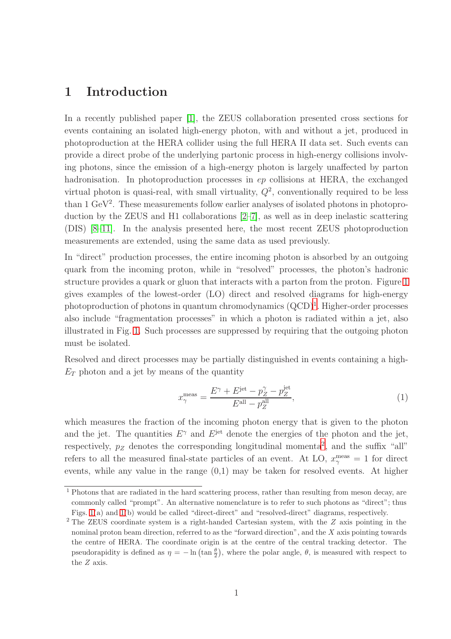#### 1 Introduction

In a recently published paper [1], the ZEUS collaboration presented cross sections for events containing an isolated high-energy photon, with and without a jet, produced in photoproduction at the HERA collider using the full HERA II data set. Such events can provide a direct probe of the underlying partonic process in high-energy collisions involving photons, since the emission of a high-energy photon is largely unaffected by parton hadronisation. In photoproduction processes in  $ep$  collisions at HERA, the exchanged virtual photon is quasi-real, with small virtuality,  $Q^2$ , conventionally required to be less than  $1 \text{ GeV}^2$ . These measurements follow earlier analyses of isolated photons in photoproduction by the ZEUS and H1 collaborations [2–7], as well as in deep inelastic scattering (DIS) [8–11]. In the analysis presented here, the most recent ZEUS photoproduction measurements are extended, using the same data as used previously.

In "direct" production processes, the entire incoming photon is absorbed by an outgoing quark from the incoming proton, while in "resolved" processes, the photon's hadronic structure provides a quark or gluon that interacts with a parton from the proton. Figure [1](#page-24-0) gives examples of the lowest-order (LO) direct and resolved diagrams for high-energy photoproduction of photons in quantum chromodynamics  $(QCD)^1$  $(QCD)^1$ . Higher-order processes also include "fragmentation processes" in which a photon is radiated within a jet, also illustrated in Fig. [1.](#page-24-0) Such processes are suppressed by requiring that the outgoing photon must be isolated.

Resolved and direct processes may be partially distinguished in events containing a high- $E_T$  photon and a jet by means of the quantity

$$
x_{\gamma}^{\text{meas}} = \frac{E^{\gamma} + E^{\text{jet}} - p_Z^{\gamma} - p_Z^{\text{jet}}}{E^{\text{all}} - p_Z^{\text{all}}},\tag{1}
$$

which measures the fraction of the incoming photon energy that is given to the photon and the jet. The quantities  $E^{\gamma}$  and  $E^{jet}$  denote the energies of the photon and the jet, respectively,  $p_Z$  denotes the corresponding longitudinal momenta<sup>[2](#page-5-1)</sup>, and the suffix "all" refers to all the measured final-state particles of an event. At LO,  $x_{\gamma}^{\text{meas}} = 1$  for direct events, while any value in the range (0,1) may be taken for resolved events. At higher

<span id="page-5-0"></span><sup>&</sup>lt;sup>1</sup> Photons that are radiated in the hard scattering process, rather than resulting from meson decay, are commonly called "prompt". An alternative nomenclature is to refer to such photons as "direct"; thus Figs. [1\(](#page-24-0)a) and [1\(](#page-24-0)b) would be called "direct-direct" and "resolved-direct" diagrams, respectively.

<span id="page-5-1"></span><sup>2</sup> The ZEUS coordinate system is a right-handed Cartesian system, with the Z axis pointing in the nominal proton beam direction, referred to as the "forward direction", and the X axis pointing towards the centre of HERA. The coordinate origin is at the centre of the central tracking detector. The pseudorapidity is defined as  $\eta = -\ln(\tan\frac{\theta}{2})$ , where the polar angle,  $\theta$ , is measured with respect to the Z axis.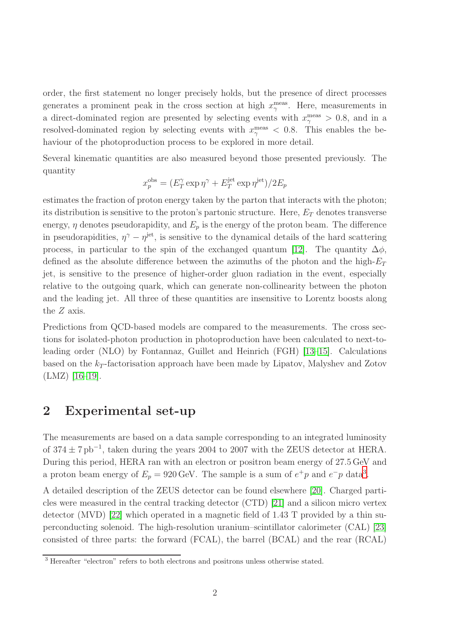order, the first statement no longer precisely holds, but the presence of direct processes generates a prominent peak in the cross section at high  $x_{\gamma}^{\text{meas}}$ . Here, measurements in a direct-dominated region are presented by selecting events with  $x_{\gamma}^{\text{meas}} > 0.8$ , and in a resolved-dominated region by selecting events with  $x_{\gamma}^{\text{meas}} < 0.8$ . This enables the behaviour of the photoproduction process to be explored in more detail.

Several kinematic quantities are also measured beyond those presented previously. The quantity

$$
x_p^{\text{obs}} = (E_T^{\gamma} \exp \eta^{\gamma} + E_T^{\text{jet}} \exp \eta^{\text{jet}})/2E_p
$$

estimates the fraction of proton energy taken by the parton that interacts with the photon; its distribution is sensitive to the proton's partonic structure. Here,  $E_T$  denotes transverse energy,  $\eta$  denotes pseudorapidity, and  $E_p$  is the energy of the proton beam. The difference in pseudorapidities,  $\eta^{\gamma} - \eta^{\text{jet}}$ , is sensitive to the dynamical details of the hard scattering process, in particular to the spin of the exchanged quantum [12]. The quantity  $\Delta \phi$ , defined as the absolute difference between the azimuths of the photon and the high- $E_T$ jet, is sensitive to the presence of higher-order gluon radiation in the event, especially relative to the outgoing quark, which can generate non-collinearity between the photon and the leading jet. All three of these quantities are insensitive to Lorentz boosts along the Z axis.

Predictions from QCD-based models are compared to the measurements. The cross sections for isolated-photon production in photoproduction have been calculated to next-toleading order (NLO) by Fontannaz, Guillet and Heinrich (FGH) [13–15]. Calculations based on the  $k_T$ -factorisation approach have been made by Lipatov, Malyshev and Zotov (LMZ) [16–19].

#### 2 Experimental set-up

The measurements are based on a data sample corresponding to an integrated luminosity of  $374 \pm 7$  pb<sup>-1</sup>, taken during the years 2004 to 2007 with the ZEUS detector at HERA. During this period, HERA ran with an electron or positron beam energy of 27.5 GeV and a proton beam energy of  $E_p = 920 \text{ GeV}$ . The sample is a sum of  $e^+p$  and  $e^-p$  data<sup>[3](#page-6-0)</sup>.

A detailed description of the ZEUS detector can be found elsewhere [20]. Charged particles were measured in the central tracking detector (CTD) [21] and a silicon micro vertex detector (MVD) [22] which operated in a magnetic field of 1.43 T provided by a thin superconducting solenoid. The high-resolution uranium–scintillator calorimeter (CAL) [23] consisted of three parts: the forward (FCAL), the barrel (BCAL) and the rear (RCAL)

<span id="page-6-0"></span><sup>3</sup> Hereafter "electron" refers to both electrons and positrons unless otherwise stated.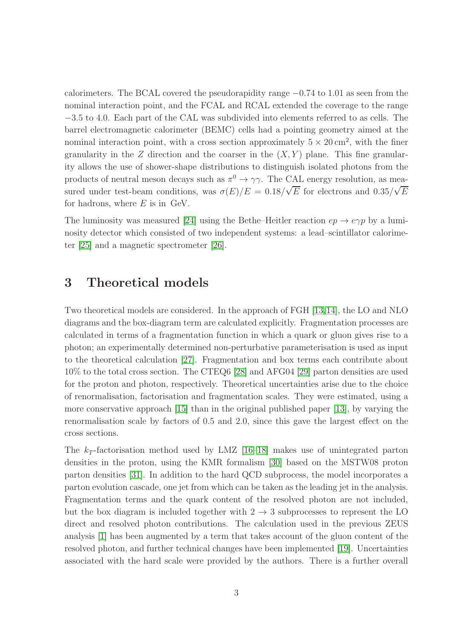calorimeters. The BCAL covered the pseudorapidity range −0.74 to 1.01 as seen from the nominal interaction point, and the FCAL and RCAL extended the coverage to the range −3.5 to 4.0. Each part of the CAL was subdivided into elements referred to as cells. The barrel electromagnetic calorimeter (BEMC) cells had a pointing geometry aimed at the nominal interaction point, with a cross section approximately  $5 \times 20 \text{ cm}^2$ , with the finer granularity in the Z direction and the coarser in the  $(X, Y)$  plane. This fine granularity allows the use of shower-shape distributions to distinguish isolated photons from the products of neutral meson decays such as  $\pi^0 \to \gamma \gamma$ . The CAL energy resolution, as measured under test-beam conditions, was  $\sigma(E)/E = 0.18/\sqrt{E}$  for electrons and  $0.35/\sqrt{E}$ for hadrons, where  $E$  is in GeV.

The luminosity was measured [24] using the Bethe–Heitler reaction  $ep \rightarrow e\gamma p$  by a luminosity detector which consisted of two independent systems: a lead–scintillator calorimeter [25] and a magnetic spectrometer [26].

#### 3 Theoretical models

Two theoretical models are considered. In the approach of FGH [13,14], the LO and NLO diagrams and the box-diagram term are calculated explicitly. Fragmentation processes are calculated in terms of a fragmentation function in which a quark or gluon gives rise to a photon; an experimentally determined non-perturbative parameterisation is used as input to the theoretical calculation [27]. Fragmentation and box terms each contribute about 10% to the total cross section. The CTEQ6 [28] and AFG04 [29] parton densities are used for the proton and photon, respectively. Theoretical uncertainties arise due to the choice of renormalisation, factorisation and fragmentation scales. They were estimated, using a more conservative approach [15] than in the original published paper [13], by varying the renormalisation scale by factors of 0.5 and 2.0, since this gave the largest effect on the cross sections.

The  $k_T$ -factorisation method used by LMZ [16–18] makes use of unintegrated parton densities in the proton, using the KMR formalism [30] based on the MSTW08 proton parton densities [31]. In addition to the hard QCD subprocess, the model incorporates a parton evolution cascade, one jet from which can be taken as the leading jet in the analysis. Fragmentation terms and the quark content of the resolved photon are not included, but the box diagram is included together with  $2 \rightarrow 3$  subprocesses to represent the LO direct and resolved photon contributions. The calculation used in the previous ZEUS analysis [1] has been augmented by a term that takes account of the gluon content of the resolved photon, and further technical changes have been implemented [19]. Uncertainties associated with the hard scale were provided by the authors. There is a further overall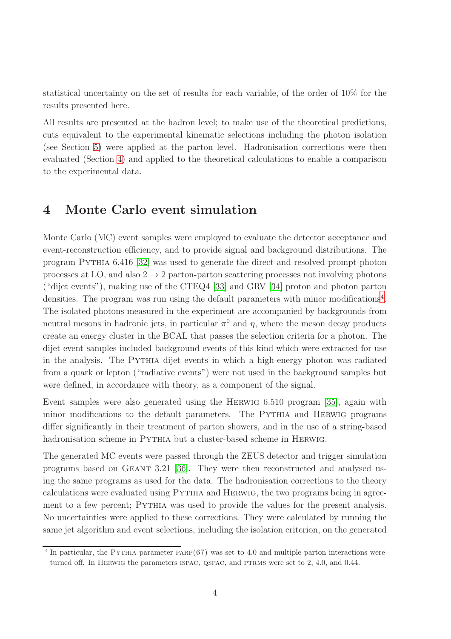statistical uncertainty on the set of results for each variable, of the order of 10% for the results presented here.

All results are presented at the hadron level; to make use of the theoretical predictions, cuts equivalent to the experimental kinematic selections including the photon isolation (see Section [5\)](#page-9-0) were applied at the parton level. Hadronisation corrections were then evaluated (Section [4\)](#page-8-0) and applied to the theoretical calculations to enable a comparison to the experimental data.

### <span id="page-8-0"></span>4 Monte Carlo event simulation

Monte Carlo (MC) event samples were employed to evaluate the detector acceptance and event-reconstruction efficiency, and to provide signal and background distributions. The program Pythia 6.416 [32] was used to generate the direct and resolved prompt-photon processes at LO, and also  $2 \rightarrow 2$  parton-parton scattering processes not involving photons ("dijet events"), making use of the CTEQ4 [33] and GRV [34] proton and photon parton densities. The program was run using the default parameters with minor modifications<sup>[4](#page-8-1)</sup>. The isolated photons measured in the experiment are accompanied by backgrounds from neutral mesons in hadronic jets, in particular  $\pi^0$  and  $\eta$ , where the meson decay products create an energy cluster in the BCAL that passes the selection criteria for a photon. The dijet event samples included background events of this kind which were extracted for use in the analysis. The PYTHIA dijet events in which a high-energy photon was radiated from a quark or lepton ("radiative events") were not used in the background samples but were defined, in accordance with theory, as a component of the signal.

Event samples were also generated using the Herwig 6.510 program [35], again with minor modifications to the default parameters. The PYTHIA and HERWIG programs differ significantly in their treatment of parton showers, and in the use of a string-based hadronisation scheme in PYTHIA but a cluster-based scheme in HERWIG.

The generated MC events were passed through the ZEUS detector and trigger simulation programs based on Geant 3.21 [36]. They were then reconstructed and analysed using the same programs as used for the data. The hadronisation corrections to the theory calculations were evaluated using PYTHIA and HERWIG, the two programs being in agreement to a few percent; PYTHIA was used to provide the values for the present analysis. No uncertainties were applied to these corrections. They were calculated by running the same jet algorithm and event selections, including the isolation criterion, on the generated

<span id="page-8-1"></span><sup>&</sup>lt;sup>4</sup> In particular, the PYTHIA parameter PARP $(67)$  was set to 4.0 and multiple parton interactions were turned off. In HERWIG the parameters ISPAC, QSPAC, and PTRMS were set to  $2, 4.0$ , and  $0.44$ .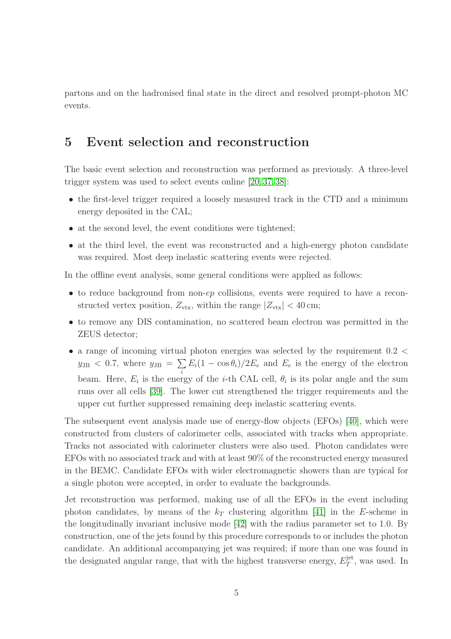<span id="page-9-0"></span>partons and on the hadronised final state in the direct and resolved prompt-photon MC events.

#### 5 Event selection and reconstruction

The basic event selection and reconstruction was performed as previously. A three-level trigger system was used to select events online [20, 37, 38]:

- the first-level trigger required a loosely measured track in the CTD and a minimum energy deposited in the CAL;
- at the second level, the event conditions were tightened;
- at the third level, the event was reconstructed and a high-energy photon candidate was required. Most deep inelastic scattering events were rejected.

In the offline event analysis, some general conditions were applied as follows:

- to reduce background from non-ep collisions, events were required to have a reconstructed vertex position,  $Z_{\text{vtx}}$ , within the range  $|Z_{\text{vtx}}| < 40 \text{ cm}$ ;
- to remove any DIS contamination, no scattered beam electron was permitted in the ZEUS detector;
- a range of incoming virtual photon energies was selected by the requirement  $0.2 <$  $y_{\text{JB}}$  < 0.7, where  $y_{\text{JB}} = \sum$  $\sum_i E_i(1 - \cos \theta_i)/2E_e$  and  $E_e$  is the energy of the electron beam. Here,  $E_i$  is the energy of the *i*-th CAL cell,  $\theta_i$  is its polar angle and the sum runs over all cells [39]. The lower cut strengthened the trigger requirements and the upper cut further suppressed remaining deep inelastic scattering events.

The subsequent event analysis made use of energy-flow objects (EFOs) [40], which were constructed from clusters of calorimeter cells, associated with tracks when appropriate. Tracks not associated with calorimeter clusters were also used. Photon candidates were EFOs with no associated track and with at least 90% of the reconstructed energy measured in the BEMC. Candidate EFOs with wider electromagnetic showers than are typical for a single photon were accepted, in order to evaluate the backgrounds.

Jet reconstruction was performed, making use of all the EFOs in the event including photon candidates, by means of the  $k_T$  clustering algorithm [41] in the E-scheme in the longitudinally invariant inclusive mode [42] with the radius parameter set to 1.0. By construction, one of the jets found by this procedure corresponds to or includes the photon candidate. An additional accompanying jet was required; if more than one was found in the designated angular range, that with the highest transverse energy,  $E_T^{\text{jet}}$  $T^{\text{jet}}$ , was used. In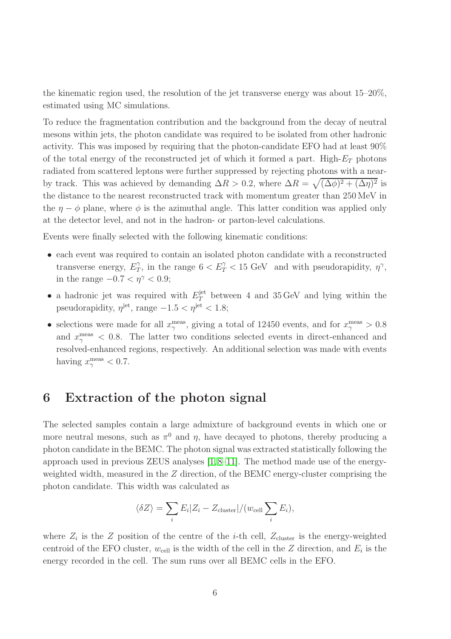the kinematic region used, the resolution of the jet transverse energy was about 15–20%, estimated using MC simulations.

To reduce the fragmentation contribution and the background from the decay of neutral mesons within jets, the photon candidate was required to be isolated from other hadronic activity. This was imposed by requiring that the photon-candidate EFO had at least 90% of the total energy of the reconstructed jet of which it formed a part. High- $E_T$  photons radiated from scattered leptons were further suppressed by rejecting photons with a nearby track. This was achieved by demanding  $\Delta R > 0.2$ , where  $\Delta R = \sqrt{(\Delta \phi)^2 + (\Delta \eta)^2}$  is the distance to the nearest reconstructed track with momentum greater than 250 MeV in the  $\eta - \phi$  plane, where  $\phi$  is the azimuthal angle. This latter condition was applied only at the detector level, and not in the hadron- or parton-level calculations.

Events were finally selected with the following kinematic conditions:

- each event was required to contain an isolated photon candidate with a reconstructed transverse energy,  $E_T^{\gamma}$  $T_T^{\gamma}$ , in the range  $6 < E_T^{\gamma} < 15$  GeV and with pseudorapidity,  $\eta^{\gamma}$ , in the range  $-0.7 < \eta^{\gamma} < 0.9$ ;
- a hadronic jet was required with  $E_T^{\text{jet}}$  between 4 and 35 GeV and lying within the pseudorapidity,  $\eta^{\text{jet}}$ , range  $-1.5 < \eta^{\text{jet}} < 1.8$ ;
- selections were made for all  $x_{\gamma}^{\text{meas}}$ , giving a total of 12450 events, and for  $x_{\gamma}^{\text{meas}} > 0.8$ and  $x_{\gamma}^{\text{meas}}$  < 0.8. The latter two conditions selected events in direct-enhanced and resolved-enhanced regions, respectively. An additional selection was made with events having  $x_{\gamma}^{\text{meas}} < 0.7$ .

#### 6 Extraction of the photon signal

The selected samples contain a large admixture of background events in which one or more neutral mesons, such as  $\pi^0$  and  $\eta$ , have decayed to photons, thereby producing a photon candidate in the BEMC. The photon signal was extracted statistically following the approach used in previous ZEUS analyses [1,8–11]. The method made use of the energyweighted width, measured in the  $Z$  direction, of the BEMC energy-cluster comprising the photon candidate. This width was calculated as

$$
\langle \delta Z \rangle = \sum_i E_i |Z_i - Z_{\text{cluster}}| / (w_{\text{cell}} \sum_i E_i),
$$

where  $Z_i$  is the Z position of the centre of the *i*-th cell,  $Z_{\text{cluster}}$  is the energy-weighted centroid of the EFO cluster,  $w_{cell}$  is the width of the cell in the Z direction, and  $E_i$  is the energy recorded in the cell. The sum runs over all BEMC cells in the EFO.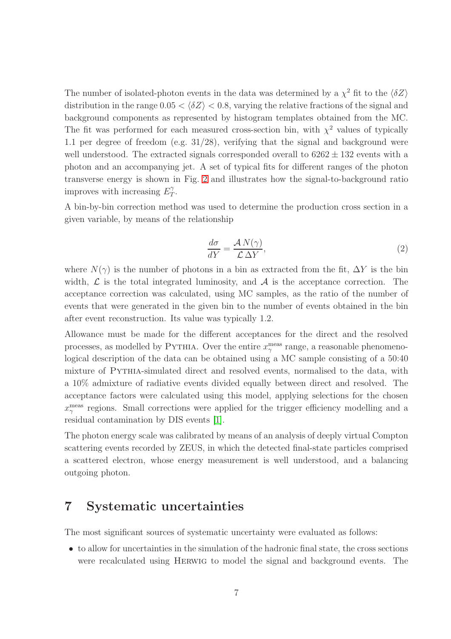The number of isolated-photon events in the data was determined by a  $\chi^2$  fit to the  $\langle \delta Z \rangle$ distribution in the range  $0.05 < \langle \delta Z \rangle < 0.8$ , varying the relative fractions of the signal and background components as represented by histogram templates obtained from the MC. The fit was performed for each measured cross-section bin, with  $\chi^2$  values of typically 1.1 per degree of freedom (e.g. 31/28), verifying that the signal and background were well understood. The extracted signals corresponded overall to  $6262 \pm 132$  events with a photon and an accompanying jet. A set of typical fits for different ranges of the photon transverse energy is shown in Fig. [2](#page-25-0) and illustrates how the signal-to-background ratio improves with increasing  $E_T^{\gamma}$  $T^{\bullet}$ 

A bin-by-bin correction method was used to determine the production cross section in a given variable, by means of the relationship

$$
\frac{d\sigma}{dY} = \frac{\mathcal{A} N(\gamma)}{\mathcal{L} \Delta Y},\tag{2}
$$

where  $N(\gamma)$  is the number of photons in a bin as extracted from the fit,  $\Delta Y$  is the bin width,  $\mathcal L$  is the total integrated luminosity, and  $\mathcal A$  is the acceptance correction. The acceptance correction was calculated, using MC samples, as the ratio of the number of events that were generated in the given bin to the number of events obtained in the bin after event reconstruction. Its value was typically 1.2.

Allowance must be made for the different acceptances for the direct and the resolved processes, as modelled by PYTHIA. Over the entire  $x_{\gamma}^{\text{meas}}$  range, a reasonable phenomenological description of the data can be obtained using a MC sample consisting of a 50:40 mixture of Pythia-simulated direct and resolved events, normalised to the data, with a 10% admixture of radiative events divided equally between direct and resolved. The acceptance factors were calculated using this model, applying selections for the chosen  $x_{\gamma}^{\text{meas}}$  regions. Small corrections were applied for the trigger efficiency modelling and a residual contamination by DIS events [1].

The photon energy scale was calibrated by means of an analysis of deeply virtual Compton scattering events recorded by ZEUS, in which the detected final-state particles comprised a scattered electron, whose energy measurement is well understood, and a balancing outgoing photon.

#### 7 Systematic uncertainties

The most significant sources of systematic uncertainty were evaluated as follows:

• to allow for uncertainties in the simulation of the hadronic final state, the cross sections were recalculated using Herwig to model the signal and background events. The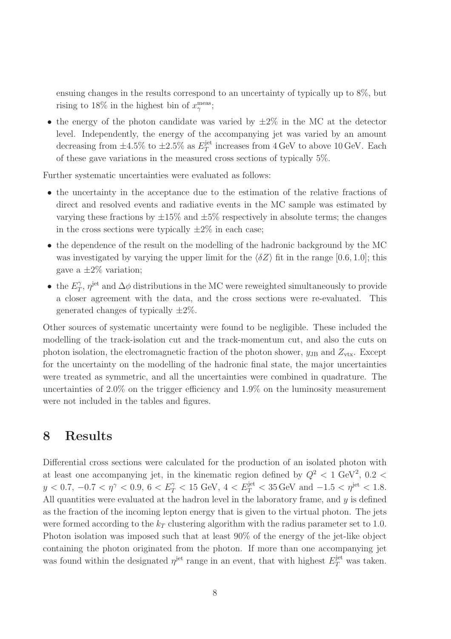ensuing changes in the results correspond to an uncertainty of typically up to 8%, but rising to 18% in the highest bin of  $x_{\gamma}^{\text{meas}}$ ;

• the energy of the photon candidate was varied by  $\pm 2\%$  in the MC at the detector level. Independently, the energy of the accompanying jet was varied by an amount decreasing from  $\pm 4.5\%$  to  $\pm 2.5\%$  as  $E_T^{\text{jet}}$  $T<sub>T</sub><sup>jet</sup>$  increases from  $4 \text{ GeV}$  to above 10 GeV. Each of these gave variations in the measured cross sections of typically 5%.

Further systematic uncertainties were evaluated as follows:

- the uncertainty in the acceptance due to the estimation of the relative fractions of direct and resolved events and radiative events in the MC sample was estimated by varying these fractions by  $\pm 15\%$  and  $\pm 5\%$  respectively in absolute terms; the changes in the cross sections were typically  $\pm 2\%$  in each case;
- the dependence of the result on the modelling of the hadronic background by the MC was investigated by varying the upper limit for the  $\langle \delta Z \rangle$  fit in the range [0.6, 1.0]; this gave a  $\pm 2\%$  variation;
- the  $E_T^{\gamma}$  $T_T^{\gamma}$ ,  $\eta^{\rm jet}$  and  $\Delta\phi$  distributions in the MC were reweighted simultaneously to provide a closer agreement with the data, and the cross sections were re-evaluated. This generated changes of typically  $\pm 2\%$ .

Other sources of systematic uncertainty were found to be negligible. These included the modelling of the track-isolation cut and the track-momentum cut, and also the cuts on photon isolation, the electromagnetic fraction of the photon shower,  $y_{\text{JB}}$  and  $Z_{\text{vtx}}$ . Except for the uncertainty on the modelling of the hadronic final state, the major uncertainties were treated as symmetric, and all the uncertainties were combined in quadrature. The uncertainties of 2.0% on the trigger efficiency and 1.9% on the luminosity measurement were not included in the tables and figures.

#### 8 Results

Differential cross sections were calculated for the production of an isolated photon with at least one accompanying jet, in the kinematic region defined by  $Q^2 < 1$  GeV<sup>2</sup>, 0.2 <  $y < 0.7, -0.7 < \eta^{\gamma} < 0.9, 6 < E_T^{\gamma} < 15$  GeV,  $4 < E_T^{\text{jet}} < 35$  GeV and  $-1.5 < \eta^{\text{jet}} < 1.8$ . All quantities were evaluated at the hadron level in the laboratory frame, and y is defined as the fraction of the incoming lepton energy that is given to the virtual photon. The jets were formed according to the  $k_T$  clustering algorithm with the radius parameter set to 1.0. Photon isolation was imposed such that at least 90% of the energy of the jet-like object containing the photon originated from the photon. If more than one accompanying jet was found within the designated  $\eta^{\text{jet}}$  range in an event, that with highest  $E_T^{\text{jet}}$  was taken.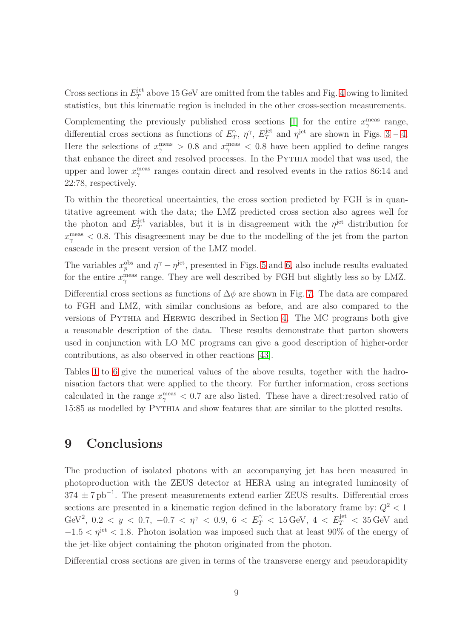Cross sections in  $E_T^{\text{jet}}$  $T^{\text{jet}}_T$  above 15 GeV are omitted from the tables and Fig. [4](#page-27-0) owing to limited statistics, but this kinematic region is included in the other cross-section measurements.

Complementing the previously published cross sections [1] for the entire  $x_{\gamma}^{\text{meas}}$  range, differential cross sections as functions of  $E_T^{\gamma}$  $T$ ,  $\eta$ <sup> $\gamma$ </sup>,  $E_T^{\rm jet}$  $T^{\text{jet}}$  and  $\eta^{\text{jet}}$  are shown in Figs. [3](#page-26-0) – [4.](#page-27-0) Here the selections of  $x_{\gamma}^{\text{meas}} > 0.8$  and  $x_{\gamma}^{\text{meas}} < 0.8$  have been applied to define ranges that enhance the direct and resolved processes. In the PYTHIA model that was used, the upper and lower  $x_{\gamma}^{\text{meas}}$  ranges contain direct and resolved events in the ratios 86:14 and 22:78, respectively.

To within the theoretical uncertainties, the cross section predicted by FGH is in quantitative agreement with the data; the LMZ predicted cross section also agrees well for the photon and  $E_T^{\text{jet}}$  $T<sup>jet</sup>$  variables, but it is in disagreement with the  $\eta^{jet}$  distribution for  $x_{\gamma}^{\text{meas}}$  < 0.8. This disagreement may be due to the modelling of the jet from the parton cascade in the present version of the LMZ model.

The variables  $x_p^{\text{obs}}$  and  $\eta^{\gamma} - \eta^{\text{jet}}$ , presented in Figs. [5](#page-28-0) and [6,](#page-29-0) also include results evaluated for the entire  $x_{\gamma}^{\text{meas}}$  range. They are well described by FGH but slightly less so by LMZ.

Differential cross sections as functions of  $\Delta\phi$  are shown in Fig. [7.](#page-30-0) The data are compared to FGH and LMZ, with similar conclusions as before, and are also compared to the versions of Pythia and Herwig described in Section [4.](#page-8-0) The MC programs both give a reasonable description of the data. These results demonstrate that parton showers used in conjunction with LO MC programs can give a good description of higher-order contributions, as also observed in other reactions [43].

Tables [1](#page-17-0) to [6](#page-22-0) give the numerical values of the above results, together with the hadronisation factors that were applied to the theory. For further information, cross sections calculated in the range  $x_{\gamma}^{\text{meas}} < 0.7$  are also listed. These have a direct:resolved ratio of 15:85 as modelled by Pythia and show features that are similar to the plotted results.

#### 9 Conclusions

The production of isolated photons with an accompanying jet has been measured in photoproduction with the ZEUS detector at HERA using an integrated luminosity of  $374 \pm 7 \text{ pb}^{-1}$ . The present measurements extend earlier ZEUS results. Differential cross sections are presented in a kinematic region defined in the laboratory frame by:  $Q^2 < 1$ GeV<sup>2</sup>,  $0.2 < y < 0.7, -0.7 < \eta^{\gamma} < 0.9, 6 < E_T^{\gamma} < 15 \,\text{GeV}, 4 < E_T^{\text{jet}} < 35 \,\text{GeV}$  and  $-1.5 < \eta^{\rm jet} < 1.8$ . Photon isolation was imposed such that at least 90% of the energy of the jet-like object containing the photon originated from the photon.

Differential cross sections are given in terms of the transverse energy and pseudorapidity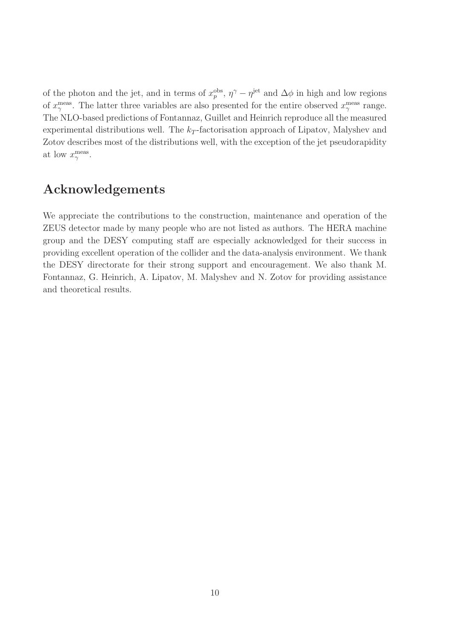of the photon and the jet, and in terms of  $x_p^{\text{obs}}$ ,  $\eta^{\gamma} - \eta^{\text{jet}}$  and  $\Delta \phi$  in high and low regions of  $x_{\gamma}^{\text{meas}}$ . The latter three variables are also presented for the entire observed  $x_{\gamma}^{\text{meas}}$  range. The NLO-based predictions of Fontannaz, Guillet and Heinrich reproduce all the measured experimental distributions well. The  $k_T$ -factorisation approach of Lipatov, Malyshev and Zotov describes most of the distributions well, with the exception of the jet pseudorapidity at low  $x_{\gamma}^{\text{meas}}$ .

### Acknowledgements

We appreciate the contributions to the construction, maintenance and operation of the ZEUS detector made by many people who are not listed as authors. The HERA machine group and the DESY computing staff are especially acknowledged for their success in providing excellent operation of the collider and the data-analysis environment. We thank the DESY directorate for their strong support and encouragement. We also thank M. Fontannaz, G. Heinrich, A. Lipatov, M. Malyshev and N. Zotov for providing assistance and theoretical results.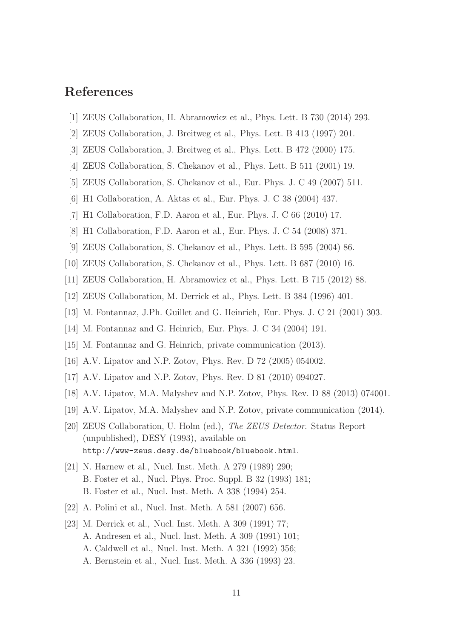## References

- [1] ZEUS Collaboration, H. Abramowicz et al., Phys. Lett. B 730 (2014) 293.
- [2] ZEUS Collaboration, J. Breitweg et al., Phys. Lett. B 413 (1997) 201.
- [3] ZEUS Collaboration, J. Breitweg et al., Phys. Lett. B 472 (2000) 175.
- [4] ZEUS Collaboration, S. Chekanov et al., Phys. Lett. B 511 (2001) 19.
- [5] ZEUS Collaboration, S. Chekanov et al., Eur. Phys. J. C 49 (2007) 511.
- [6] H1 Collaboration, A. Aktas et al., Eur. Phys. J. C 38 (2004) 437.
- [7] H1 Collaboration, F.D. Aaron et al., Eur. Phys. J. C 66 (2010) 17.
- [8] H1 Collaboration, F.D. Aaron et al., Eur. Phys. J. C 54 (2008) 371.
- [9] ZEUS Collaboration, S. Chekanov et al., Phys. Lett. B 595 (2004) 86.
- [10] ZEUS Collaboration, S. Chekanov et al., Phys. Lett. B 687 (2010) 16.
- [11] ZEUS Collaboration, H. Abramowicz et al., Phys. Lett. B 715 (2012) 88.
- [12] ZEUS Collaboration, M. Derrick et al., Phys. Lett. B 384 (1996) 401.
- [13] M. Fontannaz, J.Ph. Guillet and G. Heinrich, Eur. Phys. J. C 21 (2001) 303.
- [14] M. Fontannaz and G. Heinrich, Eur. Phys. J. C 34 (2004) 191.
- [15] M. Fontannaz and G. Heinrich, private communication (2013).
- [16] A.V. Lipatov and N.P. Zotov, Phys. Rev. D 72 (2005) 054002.
- [17] A.V. Lipatov and N.P. Zotov, Phys. Rev. D 81 (2010) 094027.
- [18] A.V. Lipatov, M.A. Malyshev and N.P. Zotov, Phys. Rev. D 88 (2013) 074001.
- [19] A.V. Lipatov, M.A. Malyshev and N.P. Zotov, private communication (2014).
- [20] ZEUS Collaboration, U. Holm (ed.), The ZEUS Detector. Status Report (unpublished), DESY (1993), available on http://www-zeus.desy.de/bluebook/bluebook.html.
- [21] N. Harnew et al., Nucl. Inst. Meth. A 279 (1989) 290; B. Foster et al., Nucl. Phys. Proc. Suppl. B 32 (1993) 181; B. Foster et al., Nucl. Inst. Meth. A 338 (1994) 254.
- [22] A. Polini et al., Nucl. Inst. Meth. A 581 (2007) 656.
- [23] M. Derrick et al., Nucl. Inst. Meth. A 309 (1991) 77; A. Andresen et al., Nucl. Inst. Meth. A 309 (1991) 101; A. Caldwell et al., Nucl. Inst. Meth. A 321 (1992) 356; A. Bernstein et al., Nucl. Inst. Meth. A 336 (1993) 23.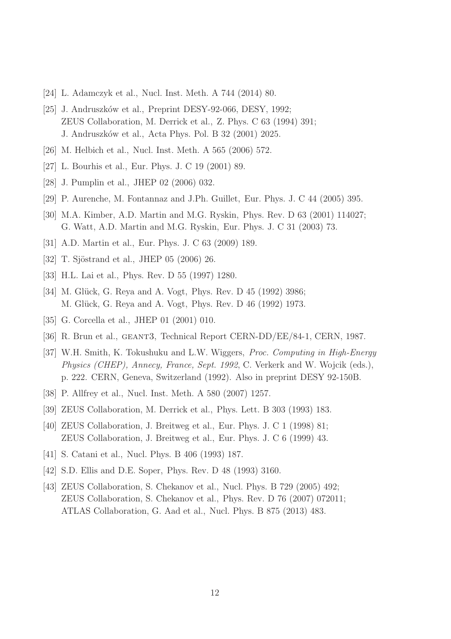- [24] L. Adamczyk et al., Nucl. Inst. Meth. A 744 (2014) 80.
- [25] J. Andruszków et al., Preprint DESY-92-066, DESY, 1992; ZEUS Collaboration, M. Derrick et al., Z. Phys. C 63 (1994) 391; J. Andruszk´ow et al., Acta Phys. Pol. B 32 (2001) 2025.
- [26] M. Helbich et al., Nucl. Inst. Meth. A 565 (2006) 572.
- [27] L. Bourhis et al., Eur. Phys. J. C 19 (2001) 89.
- [28] J. Pumplin et al., JHEP 02 (2006) 032.
- [29] P. Aurenche, M. Fontannaz and J.Ph. Guillet, Eur. Phys. J. C 44 (2005) 395.
- [30] M.A. Kimber, A.D. Martin and M.G. Ryskin, Phys. Rev. D 63 (2001) 114027; G. Watt, A.D. Martin and M.G. Ryskin, Eur. Phys. J. C 31 (2003) 73.
- [31] A.D. Martin et al., Eur. Phys. J. C 63 (2009) 189.
- [32] T. Sjöstrand et al., JHEP 05 (2006) 26.
- [33] H.L. Lai et al., Phys. Rev. D 55 (1997) 1280.
- [34] M. Glück, G. Reya and A. Vogt, Phys. Rev. D 45 (1992) 3986; M. Glück, G. Reya and A. Vogt, Phys. Rev. D 46 (1992) 1973.
- [35] G. Corcella et al., JHEP 01 (2001) 010.
- [36] R. Brun et al., geant3, Technical Report CERN-DD/EE/84-1, CERN, 1987.
- [37] W.H. Smith, K. Tokushuku and L.W. Wiggers, Proc. Computing in High-Energy Physics (CHEP), Annecy, France, Sept. 1992, C. Verkerk and W. Wojcik (eds.), p. 222. CERN, Geneva, Switzerland (1992). Also in preprint DESY 92-150B.
- [38] P. Allfrey et al., Nucl. Inst. Meth. A 580 (2007) 1257.
- [39] ZEUS Collaboration, M. Derrick et al., Phys. Lett. B 303 (1993) 183.
- [40] ZEUS Collaboration, J. Breitweg et al., Eur. Phys. J. C 1 (1998) 81; ZEUS Collaboration, J. Breitweg et al., Eur. Phys. J. C 6 (1999) 43.
- [41] S. Catani et al., Nucl. Phys. B 406 (1993) 187.
- [42] S.D. Ellis and D.E. Soper, Phys. Rev. D 48 (1993) 3160.
- [43] ZEUS Collaboration, S. Chekanov et al., Nucl. Phys. B 729 (2005) 492; ZEUS Collaboration, S. Chekanov et al., Phys. Rev. D 76 (2007) 072011; ATLAS Collaboration, G. Aad et al., Nucl. Phys. B 875 (2013) 483.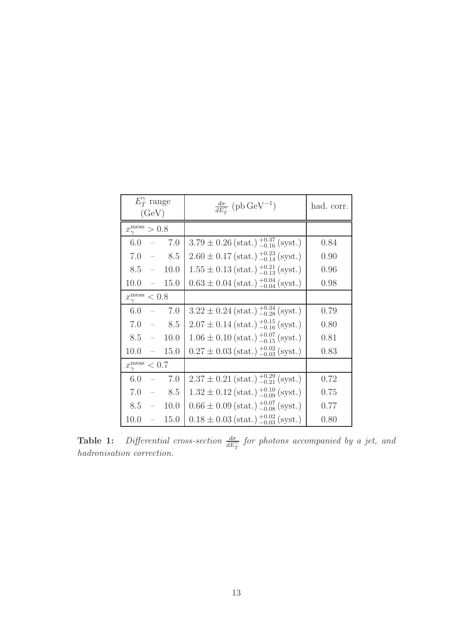| $E_T^{\gamma}$ range<br>(GeV)       | $\frac{d\sigma}{dE_{\pi}^{\gamma}}$ (pb GeV <sup>-1</sup> )                             | had. corr. |
|-------------------------------------|-----------------------------------------------------------------------------------------|------------|
| $x_{\gamma}^{\text{meas}} > 0.8$    |                                                                                         |            |
| $6.0 - 7.0$                         | $3.79 \pm 0.26$ (stat.) $^{+0.37}_{-0.16}$ (syst.)                                      | 0.84       |
| $7.0 = 8.5$                         | $2.60 \pm 0.17$ (stat.) $^{+0.23}_{-0.14}$ (syst.)                                      | 0.90       |
| 10.0<br>$8.5 -$                     | $1.55 \pm 0.13$ (stat.) $^{+0.21}_{-0.13}$ (syst.)                                      | 0.96       |
| $10.0 - 15.0$                       | $0.63 \pm 0.04$ (stat.) $^{+0.04}_{-0.04}$ (syst.)                                      | 0.98       |
| $x_{\gamma}^{\text{meas}} < 0.8$    |                                                                                         |            |
| $- 7.0$<br>6.0                      | $3.22 \pm 0.24$ (stat.) $^{+0.34}_{-0.28}$ (syst.)                                      | 0.79       |
| 7.0<br>$-8.5$                       | $2.07 \pm 0.14$ (stat.) $^{+0.15}_{-0.16}$ (syst.)                                      | 0.80       |
| $8.5 - 10.0$                        | $1.06 \pm 0.10$ (stat.) $^{+0.07}_{-0.15}$ (syst.)                                      | 0.81       |
| $10.0 -$<br>15.0                    | $0.27 \pm 0.03$ (stat.) $^{+0.02}_{-0.03}$ (syst.)                                      | 0.83       |
| $x_{\gamma}^{\text{meas}}$<br>< 0.7 |                                                                                         |            |
| 6.0<br>$- 7.0$                      | $2.37 \pm 0.21 \left( \text{stat.} \right)_{-0.21}^{+0.29} \left( \text{syst.} \right)$ | 0.72       |
| 7.0<br>$-8.5$                       | $1.32 \pm 0.12 \, (\text{stat.}) \, \substack{+0.10 \\ -0.09} \, (\text{syst.})$        | 0.75       |
| $8.5 = 10.0$                        | $0.66 \pm 0.09$ (stat.) $^{+0.07}_{-0.08}$ (syst.)                                      | 0.77       |
| 10.0<br>$\sim$ $ \sim$<br>15.0      | $0.18 \pm 0.03$ (stat.) $^{+0.02}_{-0.03}$ (syst.)                                      | 0.80       |

<span id="page-17-0"></span>**Table 1:** Differential cross-section  $\frac{d\sigma}{dE_T^{\gamma}}$  for photons accompanied by a jet, and hadronisation correction.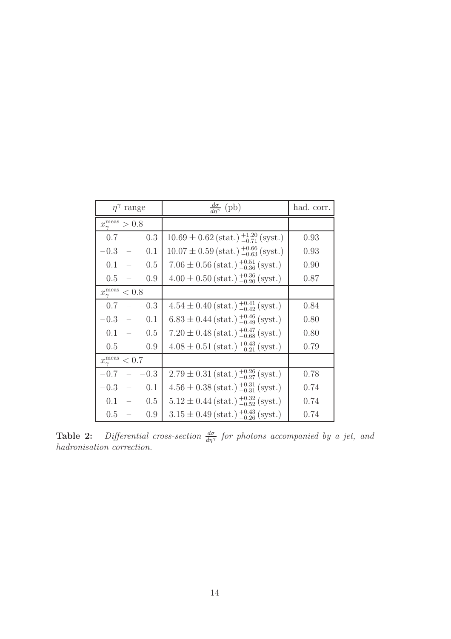| $\eta^{\gamma}$ range               | $\frac{d\sigma}{dn^{\gamma}}$ (pb)                                               | had. corr. |
|-------------------------------------|----------------------------------------------------------------------------------|------------|
| $x_{\gamma}^{\text{meas}} > 0.8$    |                                                                                  |            |
| $-0.7 - 0.3$                        | $10.69 \pm 0.62$ (stat.) $^{+1.20}_{-0.71}$ (syst.)                              | 0.93       |
| $-0.3 = 0.1$                        | $10.07 \pm 0.59$ (stat.) $^{+0.66}_{-0.63}$ (syst.)                              | 0.93       |
| $0.1 = 0.5$                         | $7.06 \pm 0.56$ (stat.) $^{+0.51}_{-0.36}$ (syst.)                               | 0.90       |
| $0.5 =$<br>0.9                      | $4.00 \pm 0.50$ (stat.) $^{+0.36}_{-0.20}$ (syst.)                               | 0.87       |
| $x_{\gamma}^{\text{meas}}$<br>< 0.8 |                                                                                  |            |
| $-0.3$<br>$-0.7 -$                  | $4.54 \pm 0.40$ (stat.) $^{+0.41}_{-0.42}$ (syst.)                               | 0.84       |
| $-0.3 - 0.1$                        | $6.83 \pm 0.44$ (stat.) $^{+0.46}_{-0.49}$ (syst.)                               | 0.80       |
| $0.1 = 0.5$                         | $7.20 \pm 0.48$ (stat.) $^{+0.47}_{-0.68}$ (syst.)                               | 0.80       |
| 0.9<br>$0.5 -$                      | $4.08 \pm 0.51$ (stat.) $^{+0.43}_{-0.21}$ (syst.)                               | 0.79       |
| $x_{\gamma}^{\text{meas}}$<br>< 0.7 |                                                                                  |            |
| $-0.7 -$<br>$-0.3$                  | $2.79 \pm 0.31 \, (\text{stat.}) \, \substack{+0.26 \\ -0.27} \, (\text{syst.})$ | 0.78       |
| $-0.3 - 0.1$                        | $4.56 \pm 0.38$ (stat.) $^{+0.31}_{-0.31}$ (syst.)                               | 0.74       |
| $0.1 - 0.5$                         | $5.12 \pm 0.44$ (stat.) $^{+0.32}_{-0.52}$ (syst.)                               | 0.74       |
| $0.5 -$<br>0.9                      | $3.15 \pm 0.49$ (stat.) $^{+0.43}_{-0.26}$ (syst.)                               | 0.74       |

**Table 2:** Differential cross-section  $\frac{d\sigma}{d\eta\gamma}$  for photons accompanied by a jet, and hadronisation correction.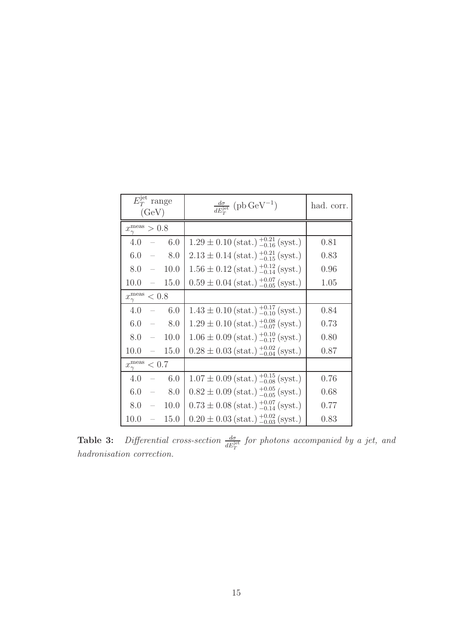| $E_T^{\text{jet}}$ range<br>(GeV)   | $\frac{d\sigma}{dE_{\rm m}^{\rm jet}}$ (pb GeV <sup>-1</sup> )            | had. corr. |
|-------------------------------------|---------------------------------------------------------------------------|------------|
| $x_{\gamma}^{\text{meas}} > 0.8$    |                                                                           |            |
| 6.0<br>$4.0 -$                      | $1.29 \pm 0.10$ (stat.) $^{+0.21}_{-0.16}$ (syst.)                        | 0.81       |
| 6.0<br>$-8.0$                       | $2.13 \pm 0.14$ (stat.) $^{+0.21}_{-0.15}$ (syst.)                        | 0.83       |
| 10.0<br>$8.0 -$                     | $1.56 \pm 0.12 \text{ (stat.)} \substack{+0.12 \\ -0.14} \text{ (syst.)}$ | 0.96       |
| 15.0<br>$10.0 -$                    | $0.59 \pm 0.04$ (stat.) $^{+0.07}_{-0.05}$ (syst.)                        | 1.05       |
| $x_{\gamma}^{\text{meas}}$<br>< 0.8 |                                                                           |            |
| 4.0<br>$- 6.0$                      | $1.43 \pm 0.10$ (stat.) $^{+0.17}_{-0.10}$ (syst.)                        | 0.84       |
| 6.0<br>$-8.0$                       | $1.29 \pm 0.10 \text{ (stat.)} ^{+0.08}_{-0.07} \text{ (syst.)}$          | 0.73       |
| $8.0 - 10.0$                        | $1.06 \pm 0.09$ (stat.) $^{+0.10}_{-0.17}$ (syst.)                        | 0.80       |
| $10.0 -$<br>15.0                    | $0.28 \pm 0.03$ (stat.) $^{+0.02}_{-0.04}$ (syst.)                        | 0.87       |
| $x_{\gamma}^{\text{meas}}$<br>< 0.7 |                                                                           |            |
| 4.0<br>6.0<br>$\equiv$              | $1.07 \pm 0.09$ (stat.) $^{+0.15}_{-0.08}$ (syst.)                        | 0.76       |
| 6.0<br>$-8.0$                       | $0.82 \pm 0.09$ (stat.) $^{+0.05}_{-0.05}$ (syst.)                        | 0.68       |
| 10.0<br>$8.0 -$                     | $0.73 \pm 0.08$ (stat.) $^{+0.07}_{-0.14}$ (syst.)                        | 0.77       |
| 10.0<br>15.0<br>$\sim$              | $0.20 \pm 0.03$ (stat.) $^{+0.02}_{-0.03}$ (syst.)                        | 0.83       |

**Table 3:** Differential cross-section  $\frac{d\sigma}{dE_T^{\text{jet}}}$  for photons accompanied by a jet, and hadronisation correction.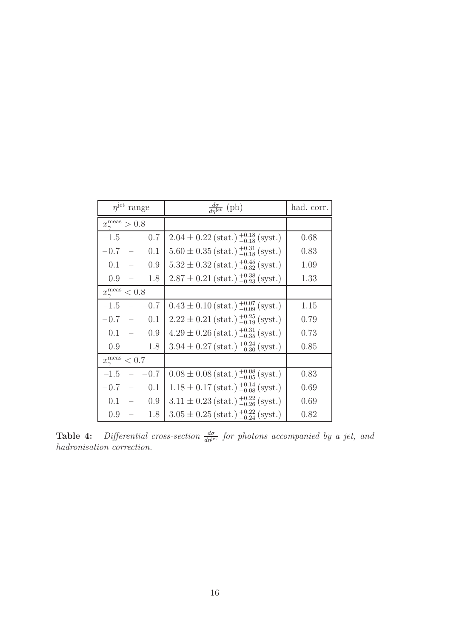| $njet$ range                        | $\frac{d\sigma}{d\eta^{\text{jet}}}$ (pb)                                        | had. corr. |
|-------------------------------------|----------------------------------------------------------------------------------|------------|
| $x_{\gamma}^{\text{meas}} > 0.8$    |                                                                                  |            |
| $-1.5 - -0.7$                       | $2.04 \pm 0.22$ (stat.) $^{+0.18}_{-0.18}$ (syst.)                               | 0.68       |
| $-0.7 - 0.1$                        | $5.60 \pm 0.35$ (stat.) $^{+0.31}_{-0.18}$ (syst.)                               | 0.83       |
| 0.9<br>$0.1 =$                      | $5.32 \pm 0.32$ (stat.) $^{+0.45}_{-0.32}$ (syst.)                               | 1.09       |
| $0.9 -$<br>1.8                      | $2.87 \pm 0.21 \, (\text{stat.}) \, \substack{+0.38 \\ -0.23} \, (\text{syst.})$ | 1.33       |
| $x_{\gamma}^{\text{meas}}$<br>< 0.8 |                                                                                  |            |
| $-0.7$<br>$-1.5 -$                  | $0.43 \pm 0.10$ (stat.) $^{+0.07}_{-0.09}$ (syst.)                               | 1.15       |
| $-0.7 - 0.1$                        | $2.22 \pm 0.21$ (stat.) $^{+0.25}_{-0.19}$ (syst.)                               | 0.79       |
| 0.9<br>$0.1 =$                      | $4.29 \pm 0.26$ (stat.) $^{+0.31}_{-0.35}$ (syst.)                               | 0.73       |
| $0.9 -$<br>1.8                      | $3.94 \pm 0.27$ (stat.) $^{+0.24}_{-0.30}$ (syst.)                               | 0.85       |
| $x_{\gamma}^{\text{meas}}$<br>< 0.7 |                                                                                  |            |
| $-1.5 - -$<br>$-0.7$                | $0.08 \pm 0.08$ (stat.) $^{+0.08}_{-0.05}$ (syst.)                               | 0.83       |
| $-0.7 - 0.1$                        | $1.18 \pm 0.17$ (stat.) $^{+0.14}_{-0.08}$ (syst.)                               | 0.69       |
| 0.9<br>$0.1 =$                      | $3.11 \pm 0.23$ (stat.) $^{+0.22}_{-0.26}$ (syst.)                               | 0.69       |
| $0.9 =$<br>1.8                      | $3.05 \pm 0.25$ (stat.) $^{+0.22}_{-0.24}$ (syst.)                               | 0.82       |

**Table 4:** Differential cross-section  $\frac{d\sigma}{d\eta}$  for photons accompanied by a jet, and hadronisation correction.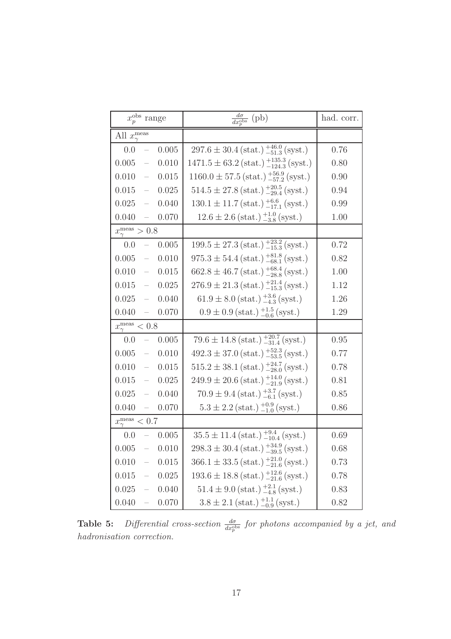| $x_{n}^{\text{obs}}$ range                            | $\frac{d\sigma}{dx_p^{\text{obs}}}$ (pb)                                                                                | had. corr. |
|-------------------------------------------------------|-------------------------------------------------------------------------------------------------------------------------|------------|
| All $x_{\gamma}^{\text{meas}}$                        |                                                                                                                         |            |
| 0.0<br>0.005<br>$\overline{\phantom{0}}$              | $297.6 \pm 30.4$ (stat.) $^{+46.0}_{-51.3}$ (syst.)                                                                     | 0.76       |
| 0.005<br>$\frac{1}{2}$<br>0.010                       | $1471.5 \pm 63.2 \left( \text{stat.} \right) \begin{array}{l} +135.3 \\ -124.3 \left( \text{syst.} \right) \end{array}$ | 0.80       |
| 0.010<br>$\hspace{0.1mm}-\hspace{0.1mm}$<br>0.015     | $1160.0 \pm 57.5 \left( \text{stat.} \right)_{-57.2}^{+56.9} \left( \text{syst.} \right)$                               | 0.90       |
| 0.025<br>$0.015 -$                                    | $514.5 \pm 27.8 \left( \text{stat.} \right)_{-29.4}^{+20.5} \left( \text{syst.} \right)$                                | 0.94       |
| $0.025 -$<br>0.040                                    | $130.1 \pm 11.7 \left( \text{stat.} \right)_{-17.1}^{+6.6} \left( \text{syst.} \right)$                                 | 0.99       |
| $0.040 =$<br>0.070                                    | $12.6 \pm 2.6$ (stat.) $^{+1.0}_{-3.8}$ (syst.)                                                                         | 1.00       |
| $x_{\gamma}^{\text{meas}} > 0.8$                      |                                                                                                                         |            |
| 0.0<br>0.005<br>$\mathcal{L} \rightarrow \mathcal{L}$ | $199.5 \pm 27.3 \left( \text{stat.} \right)_{-15.3}^{+23.2} \left( \text{syst.} \right)$                                | 0.72       |
| $0.005 -$<br>0.010                                    | $975.3 \pm 54.4 \text{ (stat.)} ^{+81.8}_{-68.1} \text{ (syst.)}$                                                       | 0.82       |
| 0.015<br>$0.010 -$                                    | $662.8 \pm 46.7 \, (\text{stat.}) \, \frac{+68.4}{-28.8} \, (\text{syst.})$                                             | 1.00       |
| $0.015 -$<br>0.025                                    | $276.9 \pm 21.3 \, (\text{stat.}) \, ^{+21.4}_{-15.3} \, (\text{syst.})$                                                | 1.12       |
| $0.025 =$<br>0.040                                    | $61.9 \pm 8.0$ (stat.) $^{+3.6}_{-4.3}$ (syst.)                                                                         | 1.26       |
| 0.040<br>0.070<br>$\sim$ $-$                          | $0.9 \pm 0.9$ (stat.) $^{+1.5}_{-0.6}$ (syst.)                                                                          | 1.29       |
| $x_{\gamma}^{\text{meas}} < 0.8$                      |                                                                                                                         |            |
| 0.0<br>0.005<br>$\equiv$                              | $79.6 \pm 14.8 \, (\text{stat.}) \, ^{+20.7}_{-31.4} \, (\text{syst.})$                                                 | 0.95       |
| $0.005 =$<br>0.010                                    | $492.3 \pm 37.0 \text{ (stat.)} ^{+52.3}_{-53.5} \text{ (syst.)}$                                                       | 0.77       |
| 0.015<br>$0.010 -$                                    | $515.2 \pm 38.1 \left( \text{stat.} \right)_{-28.0}^{+24.7} \left( \text{syst.} \right)$                                | 0.78       |
| $0.015 =$<br>0.025                                    | $249.9 \pm 20.6$ (stat.) $^{+14.0}_{-21.9}$ (syst.)                                                                     | 0.81       |
| 0.040<br>$0.025 =$                                    | $70.9 \pm 9.4$ (stat.) $^{+3.7}_{-6.1}$ (syst.)                                                                         | 0.85       |
| $0.040 =$<br>0.070                                    | $5.3 \pm 2.2$ (stat.) $^{+0.9}_{-1.0}$ (syst.)                                                                          | 0.86       |
| $x_{\gamma}^{\text{meas}} < 0.7$                      |                                                                                                                         |            |
| 0.0<br>$-0.005$                                       | $\overline{35.5 \pm 11.4}$ (stat.) $^{+9.4}_{-10.4}$ (syst.)                                                            | 0.69       |
| $0.005 - 0.010$                                       | $298.3 \pm 30.4 \left( \text{stat.} \right)_{-39.5}^{+34.9} \left( \text{syst.} \right)$                                | 0.68       |
| 0.010<br>0.015<br>$\overline{\phantom{0}}$            | $366.1 \pm 33.5 \left( \text{stat.} \right)_{-21.6}^{+21.0} \left( \text{syst.} \right)$                                | 0.73       |
| 0.015<br>0.025<br>$\overline{\phantom{0}}$            | $193.6 \pm 18.8 \left( \text{stat.} \right)_{-21.6}^{+12.6} \left( \text{syst.} \right)$                                | 0.78       |
| 0.025<br>0.040<br>$\overline{\phantom{0}}$            | $51.4 \pm 9.0$ (stat.) $^{+2.1}_{-4.8}$ (syst.)                                                                         | 0.83       |
| 0.040<br>0.070<br>$\qquad \qquad -$                   | $3.8 \pm 2.1$ (stat.) $^{+1.1}_{-0.9}$ (syst.)                                                                          | 0.82       |

**Table 5:** Differential cross-section  $\frac{d\sigma}{dx_p^{obs}}$  for photons accompanied by a jet, and hadronisation correction.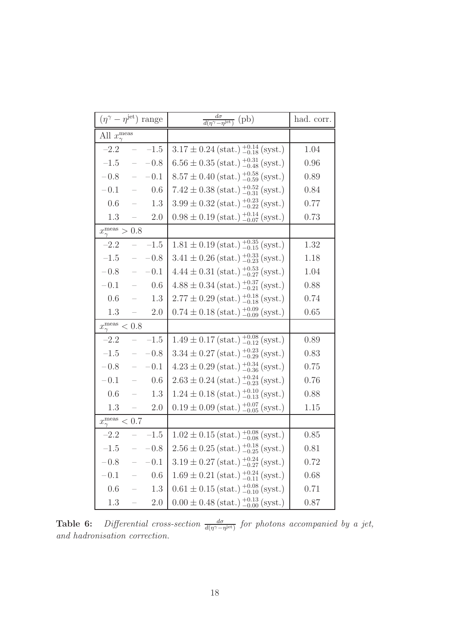| $(\eta^{\gamma} - \eta^{\text{jet}})$ range  | $\frac{d\sigma}{d(\eta^\gamma-\eta^{\rm jet})}$ (pb)                                    | had. corr. |
|----------------------------------------------|-----------------------------------------------------------------------------------------|------------|
| All $x_{\gamma}^{\text{meas}}$               |                                                                                         |            |
| $-2.2$<br>$-1.5$                             | $3.17 \pm 0.24$ (stat.) $^{+0.14}_{-0.18}$ (syst.)                                      | 1.04       |
| $-1.5$<br>$-0.8$<br>$\overline{\phantom{0}}$ | $6.56 \pm 0.35$ (stat.) $^{+0.31}_{-0.48}$ (syst.)                                      | 0.96       |
| $-0.1$<br>$-0.8$<br>$\equiv$                 | $8.57 \pm 0.40$ (stat.) $^{+0.58}_{-0.59}$ (syst.)                                      | 0.89       |
| 0.6<br>$-0.1$<br>$\overline{\phantom{0}}$    | $7.42 \pm 0.38$ (stat.) $^{+0.52}_{-0.31}$ (syst.)                                      | 0.84       |
| 1.3<br>0.6<br>$\equiv$                       | $3.99 \pm 0.32 \left( \text{stat.} \right)_{-0.22}^{+0.23} \left( \text{syst.} \right)$ | 0.77       |
| 1.3<br>2.0<br>$\overline{\phantom{0}}$       | $0.98 \pm 0.19 \text{ (stat.)} ^{+0.14}_{-0.07} \text{ (syst.)}$                        | 0.73       |
| $x_{\gamma}^{\text{meas}} > 0.8$             |                                                                                         |            |
| $-2.2$<br>$-1.5$<br>$\equiv$                 | $1.81 \pm 0.19$ (stat.) $^{+0.35}_{-0.15}$ (syst.)                                      | 1.32       |
| $-0.8$<br>$-1.5$<br>$\equiv$                 | $3.41 \pm 0.26$ (stat.) $^{+0.33}_{-0.23}$ (syst.)                                      | 1.18       |
| $-0.1$<br>$-0.8$<br>$\equiv$                 | $4.44 \pm 0.31 \left( \text{stat.} \right)_{-0.27}^{+0.53} \left( \text{syst.} \right)$ | 1.04       |
| 0.6<br>$-0.1$<br>$\equiv$                    | $4.88 \pm 0.34$ (stat.) $^{+0.37}_{-0.21}$ (syst.)                                      | 0.88       |
| 0.6<br>1.3<br>$\overline{\phantom{0}}$       | $2.77 \pm 0.29$ (stat.) $^{+0.18}_{-0.18}$ (syst.)                                      | 0.74       |
| 1.3<br>2.0<br>$\equiv$                       | $0.74 \pm 0.18 \text{ (stat.)} ^{+0.09}_{-0.09} \text{ (syst.)}$                        | 0.65       |
| $x_{\gamma}^{\text{meas}}$<br>$< 0.8$        |                                                                                         |            |
| $-2.2$<br>$-1.5$<br>$\equiv$                 | $1.49 \pm 0.17$ (stat.) $^{+0.08}_{-0.12}$ (syst.)                                      | 0.89       |
| $-1.5$<br>$-0.8$<br>$\equiv$                 | $3.34 \pm 0.27$ (stat.) $^{+0.23}_{-0.29}$ (syst.)                                      | 0.83       |
| $-0.1$<br>$-0.8$<br>$\equiv$                 | $4.23 \pm 0.29$ (stat.) $^{+0.34}_{-0.36}$ (syst.)                                      | 0.75       |
| 0.6<br>$-0.1$<br>$\equiv$                    | $2.63 \pm 0.24 \, (\text{stat.}) \, \substack{+0.24 \\ -0.23} \, (\text{syst.})$        | 0.76       |
| $0.6\,$<br>1.3<br>$\overline{\phantom{m}}$   | $1.24 \pm 0.18$ (stat.) $^{+0.10}_{-0.13}$ (syst.)                                      | 0.88       |
| 1.3<br>2.0<br>$\equiv$                       | $0.19 \pm 0.09$ (stat.) $^{+0.07}_{-0.05}$ (syst.)                                      | 1.15       |
| $x_{\gamma}^{\text{meas}} < 0.7$             |                                                                                         |            |
| $-2.2$<br>$-1.5$                             | $1.02 \pm 0.15$ (stat.) $^{+0.08}_{-0.08}$ (syst.)                                      | 0.85       |
| $-1.5 - -0.8$                                | $2.56 \pm 0.25$ (stat.) $^{+0.18}_{-0.25}$ (syst.)                                      | 0.81       |
| $-0.8$<br>$-0.1$                             | $3.19 \pm 0.27$ (stat.) $^{+0.24}_{-0.27}$ (syst.)                                      | 0.72       |
| $-0.1$<br>0.6                                | $1.69 \pm 0.21 \, (\text{stat.}) \, \substack{+0.24 \\ -0.11} \, (\text{syst.})$        | 0.68       |
| 0.6<br>1.3                                   | $0.61 \pm 0.15$ (stat.) $^{+0.08}_{-0.10}$ (syst.)                                      | 0.71       |
| $1.3\,$<br>$2.0\,$                           | $0.00 \pm 0.48$ (stat.) $^{+0.13}_{-0.00}$ (syst.)                                      | 0.87       |

<span id="page-22-0"></span>**Table 6:** Differential cross-section  $\frac{d\sigma}{d(\eta^{\gamma}-\eta^{\text{jet}})}$  for photons accompanied by a jet, and hadronisation correction.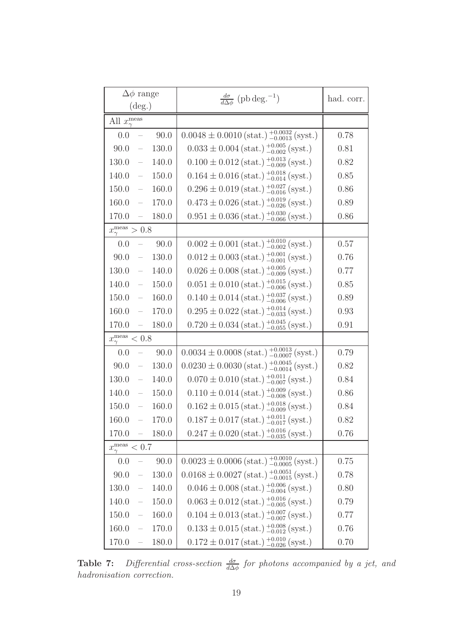| $\Delta\phi$ range<br>$(\text{deg.})$ |       | $\frac{d\sigma}{d\Delta\phi}$ (pb deg. <sup>-1</sup> )                                                                 | had. corr. |
|---------------------------------------|-------|------------------------------------------------------------------------------------------------------------------------|------------|
| All $x_{\gamma}^{\text{meas}}$        |       |                                                                                                                        |            |
| 0.0<br>$\overline{\phantom{m}}$       | 90.0  | $0.0048 \pm 0.0010$ (stat.) $^{+0.0032}_{-0.0013}$ (syst.)                                                             | 0.78       |
| $90.0 =$                              | 130.0 | $0.033 \pm 0.004$ (stat.) $^{+0.005}_{-0.002}$ (syst.)                                                                 | 0.81       |
| $130.0 =$                             | 140.0 | $0.100 \pm 0.012 \text{ (stat.)} ^{+0.013}_{-0.009} \text{ (syst.)}$                                                   | 0.82       |
| $140.0 =$                             | 150.0 | $0.164 \pm 0.016$ (stat.) $^{+0.018}_{-0.014}$ (syst.)                                                                 | 0.85       |
| $150.0 =$                             | 160.0 | $0.296 \pm 0.019 \text{ (stat.)} ^{+0.027}_{-0.016} \text{ (syst.)}$                                                   | 0.86       |
| $160.0 =$                             | 170.0 | $0.473 \pm 0.026 \, (\mathrm{stat.}) \, \substack{+0.019 \\ -0.026} \, (\mathrm{syst.})$                               | 0.89       |
| $170.0 =$                             | 180.0 | $0.951 \pm 0.036$ (stat.) $^{+0.030}_{-0.066}$ (syst.)                                                                 | 0.86       |
| $x_{\gamma}^{\text{meas}} > 0.8$      |       |                                                                                                                        |            |
| 0.0<br>$\overline{\phantom{a}}$       | 90.0  | $0.002 \pm 0.001 \, (\text{stat.}) \, \substack{+0.010 \\ -0.002} \, (\text{syst.})$                                   | 0.57       |
| $90.0 =$                              | 130.0 | $0.012 \pm 0.003$ (stat.) $^{+0.001}_{-0.001}$ (syst.)                                                                 | 0.76       |
| $130.0 -$                             | 140.0 | $0.026 \pm 0.008$ (stat.) $^{+0.005}_{-0.009}$ (syst.)                                                                 | 0.77       |
| $140.0 =$                             | 150.0 | $0.051 \pm 0.010$ (stat.) $^{+0.015}_{-0.006}$ (syst.)                                                                 | 0.85       |
| $150.0 =$                             | 160.0 | $0.140 \pm 0.014 \, (\text{stat.}) \, \substack{+0.037 \\ -0.006} \, (\text{syst.})$                                   | 0.89       |
| $160.0 =$                             | 170.0 | $0.295 \pm 0.022$ (stat.) $^{+0.014}_{-0.033}$ (syst.)                                                                 | 0.93       |
| 170.0<br>$\sim$ $-$                   | 180.0 | $0.720 \pm 0.034 \, (\text{stat.}) \, \substack{+0.045 \\ -0.055} \, (\text{syst.})$                                   | 0.91       |
| $x_{\gamma}^{\text{meas}} < 0.8$      |       |                                                                                                                        |            |
| 0.0<br>$\overline{\phantom{a}}$       | 90.0  | $0.0034 \pm 0.0008$ (stat.) $^{+0.0013}_{-0.0007}$ (syst.)                                                             | 0.79       |
| 90.0<br>$\overline{\phantom{0}}$      | 130.0 | $0.0230 \pm 0.0030$ (stat.) $^{+0.0045}_{-0.0014}$ (syst.)                                                             | 0.82       |
| 130.0<br>$\equiv$                     | 140.0 | $0.070 \pm 0.010 \text{ (stat.)} \frac{+0.011}{-0.007} \text{ (syst.)}$                                                | 0.84       |
| $140.0 =$                             | 150.0 | $0.110 \pm 0.014$ (stat.) $^{+0.009}_{-0.008}$ (syst.)                                                                 | 0.86       |
| 150.0<br>$\equiv$                     | 160.0 | $0.162 \pm 0.015$ (stat.) $^{+0.018}_{-0.009}$ (syst.)                                                                 | 0.84       |
| 160.0<br>$\equiv$                     | 170.0 | $0.187\pm0.017\,\text{(stat.)}\,\substack{+0.011\\-0.017}\,\text{(syst.)}$                                             | 0.82       |
| $170.0 =$                             | 180.0 | $0.247 \pm 0.020$ (stat.) $^{+0.016}_{-0.035}$ (syst.)                                                                 | 0.76       |
| $x_{\gamma}^{\text{meas}} < 0.7$      |       |                                                                                                                        |            |
| 0.0<br>$\sim$ $-$                     | 90.0  | $0.0023 \pm 0.0006$ (stat.) $^{+0.0010}_{-0.0005}$ (syst.)                                                             | 0.75       |
| 90.0<br>$\equiv$                      | 130.0 | $0.0168 \pm 0.0027$ (stat.) $^{+0.0051}_{-0.0015}$ (syst.)                                                             | 0.78       |
| 130.0<br>$\overline{\phantom{0}}$     | 140.0 | $0.046 \pm 0.008$ (stat.) $^{+0.006}_{-0.004}$ (syst.)                                                                 | 0.80       |
| 140.0<br>$\equiv$                     | 150.0 | $0.063 \pm 0.012 \left( \text{stat.} \right) \begin{matrix} +0.016 \\ -0.005 \end{matrix} \left( \text{syst.} \right)$ | 0.79       |
| 150.0<br>$\frac{1}{2}$                | 160.0 | $0.104 \pm 0.013$ (stat.) $^{+0.007}_{-0.007}$ (syst.)                                                                 | 0.77       |
| 160.0<br>$\equiv$                     | 170.0 | $0.133 \pm 0.015$ (stat.) $^{+0.008}_{-0.012}$ (syst.)                                                                 | 0.76       |
| 170.0<br>$\equiv$                     | 180.0 | $0.172 \pm 0.017$ (stat.) $^{+0.010}_{-0.026}$ (syst.)                                                                 | 0.70       |

**Table 7:** Differential cross-section  $\frac{d\sigma}{d\Delta\phi}$  for photons accompanied by a jet, and hadronisation correction.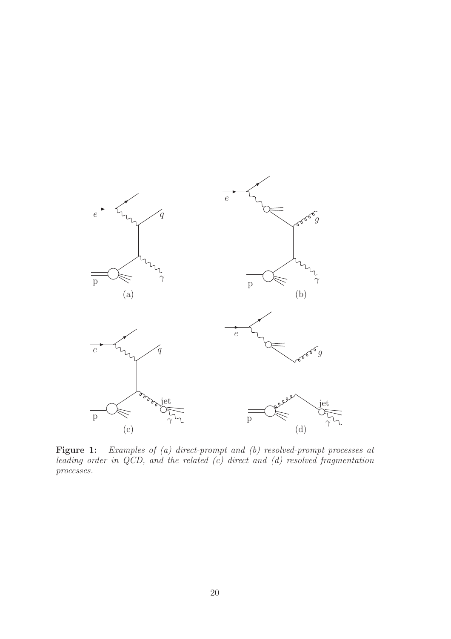

<span id="page-24-0"></span>Figure 1: Examples of (a) direct-prompt and (b) resolved-prompt processes at leading order in  $QCD$ , and the related  $(c)$  direct and  $(d)$  resolved fragmentation processes.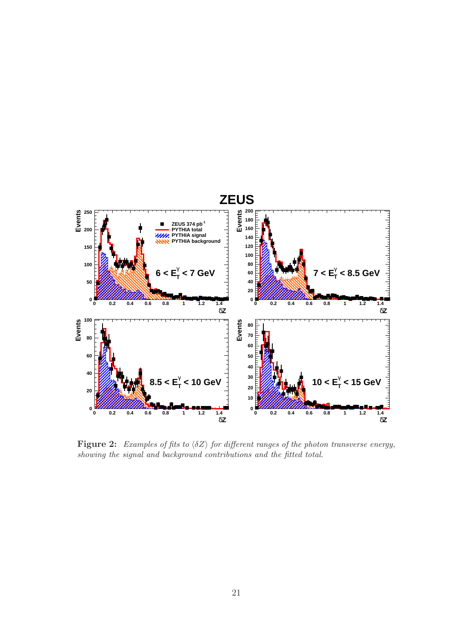

<span id="page-25-0"></span>Figure 2: Examples of fits to  $\langle \delta Z \rangle$  for different ranges of the photon transverse energy, showing the signal and background contributions and the fitted total.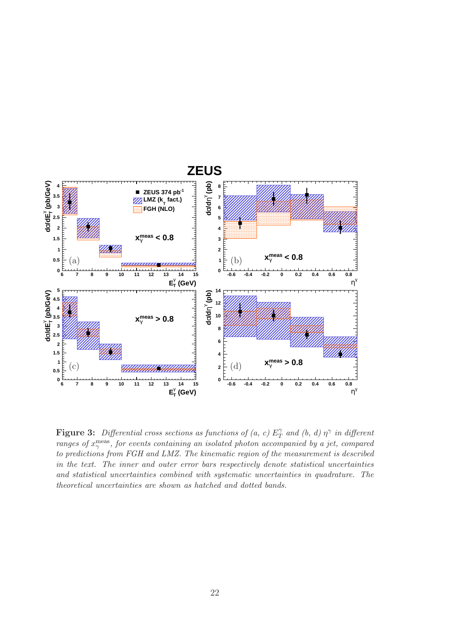

<span id="page-26-0"></span>**Figure 3:** Differential cross sections as functions of  $(a, c) E<sub>T</sub>$  $T \text{ and } (b, d) \eta^{\gamma}$  in different ranges of  $x_{\gamma}^{\text{meas}}$ , for events containing an isolated photon accompanied by a jet, compared to predictions from FGH and LMZ. The kinematic region of the measurement is described in the text. The inner and outer error bars respectively denote statistical uncertainties and statistical uncertainties combined with systematic uncertainties in quadrature. The theoretical uncertainties are shown as hatched and dotted bands.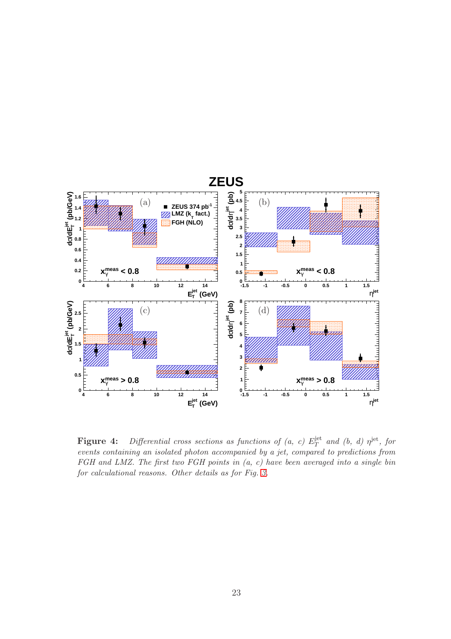

<span id="page-27-0"></span>**Figure 4:** Differential cross sections as functions of (a, c)  $E_T^{\text{jet}}$  $T^{\text{jet}}$  and (b, d)  $\eta^{\text{jet}}$ , for events containing an isolated photon accompanied by a jet, compared to predictions from FGH and LMZ. The first two FGH points in  $(a, c)$  have been averaged into a single bin for calculational reasons. Other details as for Fig. [3.](#page-26-0)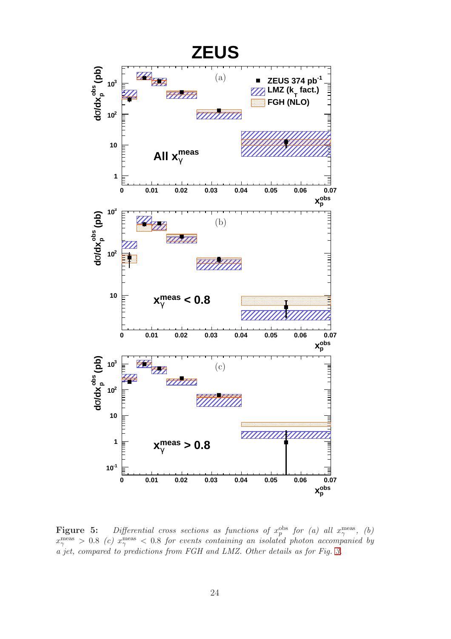

<span id="page-28-0"></span>**Figure 5:** Differential cross sections as functions of  $x_p^{\text{obs}}$  for (a) all  $x_\gamma^{\text{meas}}$ , (b)  $x_\gamma^{\rm meas} > 0.8 \,\,(c) \,\, x_\gamma^{\rm meas} < 0.8$  for events containing an isolated photon accompanied by a jet, compared to predictions from FGH and LMZ. Other details as for Fig. [3.](#page-26-0)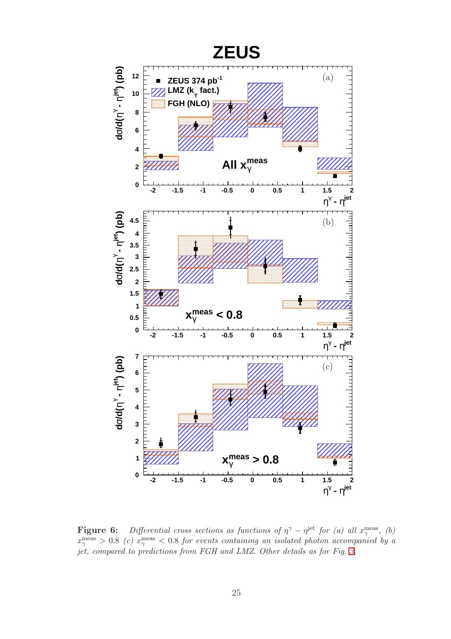

<span id="page-29-0"></span>**Figure 6:** Differential cross sections as functions of  $\eta^{\gamma} - \eta^{\text{jet}}$  for (a) all  $x_{\gamma}^{\text{meas}}$ , (b)  $x_\gamma^{\rm meas}>0.8 \,\,(c) \,\, x_\gamma^{\rm meas}<0.8 \,\, for \,\, events \,\, containing \,\, an \,\, isolated \,\, photon \,\, accompanied \,\, by \,\,a$ jet, compared to predictions from FGH and LMZ. Other details as for Fig. [3.](#page-26-0)